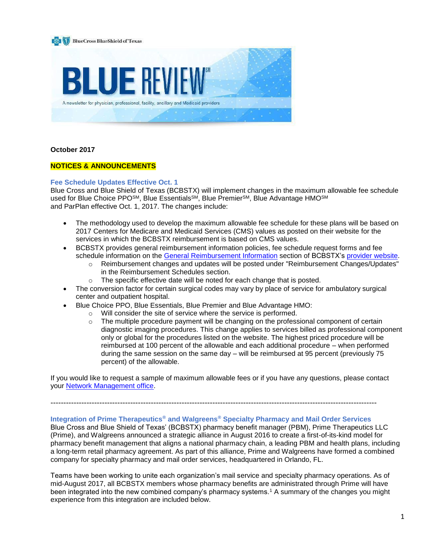

#### **October 2017**

### **NOTICES & ANNOUNCEMENTS**

#### **Fee Schedule Updates Effective Oct. 1**

Blue Cross and Blue Shield of Texas (BCBSTX) will implement changes in the maximum allowable fee schedule used for Blue Choice PPO<sup>SM</sup>, Blue Essentials<sup>SM</sup>, Blue Premier<sup>SM</sup>, Blue Advantage HMO<sup>SM</sup> and ParPlan effective Oct. 1, 2017. The changes include:

- The methodology used to develop the maximum allowable fee schedule for these plans will be based on 2017 Centers for Medicare and Medicaid Services (CMS) values as posted on their website for the services in which the BCBSTX reimbursement is based on CMS values.
- BCBSTX provides general reimbursement information policies, fee schedule request forms and fee schedule information on the [General Reimbursement Information](https://www.bcbstx.com/provider/gri/index.html) section of BCBSTX's [provider website.](https://www.bcbstx.com/provider/)
	- o Reimbursement changes and updates will be posted under "Reimbursement Changes/Updates" in the Reimbursement Schedules section.
	- o The specific effective date will be noted for each change that is posted.
- The conversion factor for certain surgical codes may vary by place of service for ambulatory surgical center and outpatient hospital.
- Blue Choice PPO, Blue Essentials, Blue Premier and Blue Advantage HMO:
	- o Will consider the site of service where the service is performed.
	- $\circ$  The multiple procedure payment will be changing on the professional component of certain diagnostic imaging procedures. This change applies to services billed as professional component only or global for the procedures listed on the website. The highest priced procedure will be reimbursed at 100 percent of the allowable and each additional procedure – when performed during the same session on the same day – will be reimbursed at 95 percent (previously 75 percent) of the allowable.

If you would like to request a sample of maximum allowable fees or if you have any questions, please contact your **Network Management office**.

-------------------------------------------------------------------------------------------------------------------------------

#### **Integration of Prime Therapeutics® and Walgreens® Specialty Pharmacy and Mail Order Services**

Blue Cross and Blue Shield of Texas' (BCBSTX) pharmacy benefit manager (PBM), Prime Therapeutics LLC (Prime), and Walgreens announced a strategic alliance in August 2016 to create a first-of-its-kind model for pharmacy benefit management that aligns a national pharmacy chain, a leading PBM and health plans, including a long-term retail pharmacy agreement. As part of this alliance, Prime and Walgreens have formed a combined company for specialty pharmacy and mail order services, headquartered in Orlando, FL.

Teams have been working to unite each organization's mail service and specialty pharmacy operations. As of mid-August 2017, all BCBSTX members whose pharmacy benefits are administrated through Prime will have been integrated into the new combined company's pharmacy systems.<sup>1</sup> A summary of the changes you might experience from this integration are included below.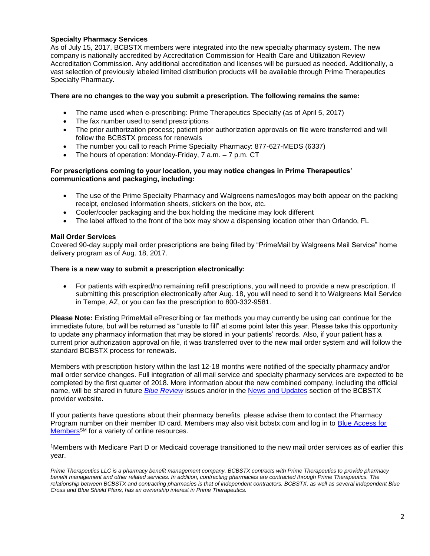## **Specialty Pharmacy Services**

As of July 15, 2017, BCBSTX members were integrated into the new specialty pharmacy system. The new company is nationally accredited by Accreditation Commission for Health Care and Utilization Review Accreditation Commission. Any additional accreditation and licenses will be pursued as needed. Additionally, a vast selection of previously labeled limited distribution products will be available through Prime Therapeutics Specialty Pharmacy.

### **There are no changes to the way you submit a prescription. The following remains the same:**

- The name used when e-prescribing: Prime Therapeutics Specialty (as of April 5, 2017)
- The fax number used to send prescriptions
- The prior authorization process; patient prior authorization approvals on file were transferred and will follow the BCBSTX process for renewals
- The number you call to reach Prime Specialty Pharmacy: 877-627-MEDS (6337)
- The hours of operation: Monday-Friday, 7 a.m. 7 p.m. CT

### **For prescriptions coming to your location, you may notice changes in Prime Therapeutics' communications and packaging, including:**

- The use of the Prime Specialty Pharmacy and Walgreens names/logos may both appear on the packing receipt, enclosed information sheets, stickers on the box, etc.
- Cooler/cooler packaging and the box holding the medicine may look different
- The label affixed to the front of the box may show a dispensing location other than Orlando, FL

### **Mail Order Services**

Covered 90-day supply mail order prescriptions are being filled by "PrimeMail by Walgreens Mail Service" home delivery program as of Aug. 18, 2017.

#### **There is a new way to submit a prescription electronically:**

• For patients with expired/no remaining refill prescriptions, you will need to provide a new prescription. If submitting this prescription electronically after Aug. 18, you will need to send it to Walgreens Mail Service in Tempe, AZ, or you can fax the prescription to 800-332-9581.

**Please Note:** Existing PrimeMail ePrescribing or fax methods you may currently be using can continue for the immediate future, but will be returned as "unable to fill" at some point later this year. Please take this opportunity to update any pharmacy information that may be stored in your patients' records. Also, if your patient has a current prior authorization approval on file, it was transferred over to the new mail order system and will follow the standard BCBSTX process for renewals.

Members with prescription history within the last 12-18 months were notified of the specialty pharmacy and/or mail order service changes. Full integration of all mail service and specialty pharmacy services are expected to be completed by the first quarter of 2018. More information about the new combined company, including the official name, will be shared in future *[Blue Review](https://www.bcbstx.com/provider/news/bluereview.html)* issues and/or in the [News and Updates](https://www.bcbstx.com/provider/news/index.html) section of the BCBSTX provider website.

If your patients have questions about their pharmacy benefits, please advise them to contact the Pharmacy Program number on their member ID card. Members may also visit bcbstx.com and log in to Blue Access for [Members](https://www.bcbstx.com/member)<sup>SM</sup> for a variety of online resources.

<sup>1</sup>Members with Medicare Part D or Medicaid coverage transitioned to the new mail order services as of earlier this year.

*Prime Therapeutics LLC is a pharmacy benefit management company. BCBSTX contracts with Prime Therapeutics to provide pharmacy benefit management and other related services. In addition, contracting pharmacies are contracted through Prime Therapeutics. The relationship between BCBSTX and contracting pharmacies is that of independent contractors. BCBSTX, as well as several independent Blue Cross and Blue Shield Plans, has an ownership interest in Prime Therapeutics.*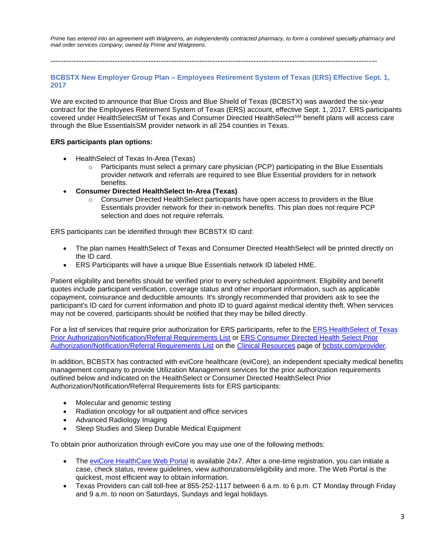*Prime has entered into an agreement with Walgreens, an independently contracted pharmacy, to form a combined specialty pharmacy and mail order services company, owned by Prime and Walgreens.*

-------------------------------------------------------------------------------------------------------------------------------

#### **BCBSTX New Employer Group Plan – Employees Retirement System of Texas (ERS) Effective Sept. 1, 2017**

We are excited to announce that Blue Cross and Blue Shield of Texas (BCBSTX) was awarded the six-year contract for the Employees Retirement System of Texas (ERS) account, effective Sept. 1, 2017. ERS participants covered under HealthSelectSM of Texas and Consumer Directed HealthSelect<sup>SM</sup> benefit plans will access care through the Blue EssentialsSM provider network in all 254 counties in Texas.

#### **ERS participants plan options:**

- HealthSelect of Texas In-Area (Texas)
	- $\circ$  Participants must select a primary care physician (PCP) participating in the Blue Essentials provider network and referrals are required to see Blue Essential providers for in network benefits.
- **Consumer Directed HealthSelect In-Area (Texas)**
	- $\circ$  Consumer Directed HealthSelect participants have open access to providers in the Blue Essentials provider network for their in-network benefits. This plan does not require PCP selection and does not require referrals.

ERS participants can be identified through their BCBSTX ID card:

- The plan names HealthSelect of Texas and Consumer Directed HealthSelect will be printed directly on the ID card.
- ERS Participants will have a unique Blue Essentials network ID labeled HME.

Patient eligibility and benefits should be verified prior to every scheduled appointment. Eligibility and benefit quotes include participant verification, coverage status and other important information, such as applicable copayment, coinsurance and deductible amounts. It's strongly recommended that providers ask to see the participant's ID card for current information and photo ID to guard against medical identity theft. When services may not be covered, participants should be notified that they may be billed directly.

For a list of services that require prior authorization for ERS participants, refer to the [ERS HealthSelect of Texas](https://www.bcbstx.com/provider/pdf/hs-prior-auth.pdf)  [Prior Authorization/Notification/Referral Requirements List](https://www.bcbstx.com/provider/pdf/hs-prior-auth.pdf) or [ERS Consumer Directed Health Select Prior](https://www.bcbstx.com/provider/pdf/hs-prior-auth-consumer.pdf)  [Authorization/Notification/Referral Requirements List](https://www.bcbstx.com/provider/pdf/hs-prior-auth-consumer.pdf) on the [Clinical Resources](https://www.bcbstx.com/provider/clinical/index.html) page of [bcbstx.com/provider.](https://www.bcbstx.com/provider/)

In addition, BCBSTX has contracted with eviCore healthcare (eviCore), an independent specialty medical benefits management company to provide Utilization Management services for the prior authorization requirements outlined below and indicated on the HealthSelect or Consumer Directed HealthSelect Prior Authorization/Notification/Referral Requirements lists for ERS participants:

- Molecular and genomic testing
- Radiation oncology for all outpatient and office services
- Advanced Radiology Imaging
- Sleep Studies and Sleep Durable Medical Equipment

To obtain prior authorization through eviCore you may use one of the following methods:

- The [eviCore HealthCare Web Portal](https://www.evicore.com/) is available 24x7. After a one-time registration, you can initiate a case, check status, review guidelines, view authorizations/eligibility and more. The Web Portal is the quickest, most efficient way to obtain information.
- Texas Providers can call toll-free at 855-252-1117 between 6 a.m. to 6 p.m. CT Monday through Friday and 9 a.m. to noon on Saturdays, Sundays and legal holidays.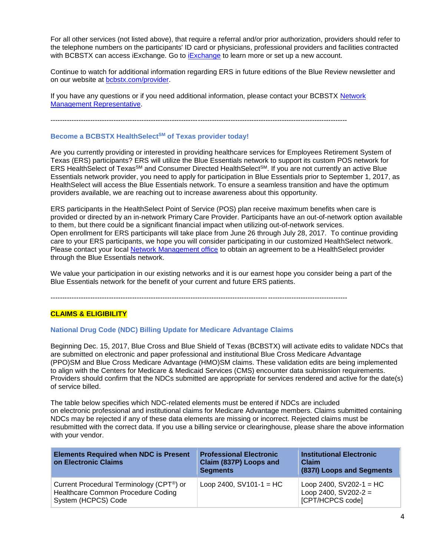For all other services (not listed above), that require a referral and/or prior authorization, providers should refer to the telephone numbers on the participants' ID card or physicians, professional providers and facilities contracted with BCBSTX can access [iExchange](https://www.bcbstx.com/provider/tools/iexchange.html). Go to iExchange to learn more or set up a new account.

Continue to watch for additional information regarding ERS in future editions of the Blue Review newsletter and on our website at [bcbstx.com/provider.](https://www.bcbstx.com/provider/)

If you have any questions or if you need additional information, please contact your BCBSTX [Network](https://www.bcbstx.com/provider/contact_us.html#localnetwork)  [Management Representative.](https://www.bcbstx.com/provider/contact_us.html#localnetwork)

-------------------------------------------------------------------------------------------------------------------------------

#### **Become a BCBSTX HealthSelectSM of Texas provider today!**

Are you currently providing or interested in providing healthcare services for Employees Retirement System of Texas (ERS) participants? ERS will utilize the Blue Essentials network to support its custom POS network for ERS HealthSelect of Texas<sup>SM</sup> and Consumer Directed HealthSelect<sup>SM</sup>. If you are not currently an active Blue Essentials network provider, you need to apply for participation in Blue Essentials prior to September 1, 2017, as HealthSelect will access the Blue Essentials network. To ensure a seamless transition and have the optimum providers available, we are reaching out to increase awareness about this opportunity.

ERS participants in the HealthSelect Point of Service (POS) plan receive maximum benefits when care is provided or directed by an in-network Primary Care Provider. Participants have an out-of-network option available to them, but there could be a significant financial impact when utilizing out-of-network services. Open enrollment for ERS participants will take place from June 26 through July 28, 2017. To continue providing care to your ERS participants, we hope you will consider participating in our customized HealthSelect network. Please contact your local [Network Management office](https://www.bcbstx.com/provider/contact_us.html) to obtain an agreement to be a HealthSelect provider through the Blue Essentials network.

We value your participation in our existing networks and it is our earnest hope you consider being a part of the Blue Essentials network for the benefit of your current and future ERS patients.

-------------------------------------------------------------------------------------------------------------------------------

#### **CLAIMS & ELIGIBILITY**

#### **National Drug Code (NDC) Billing Update for Medicare Advantage Claims**

Beginning Dec. 15, 2017, Blue Cross and Blue Shield of Texas (BCBSTX) will activate edits to validate NDCs that are submitted on electronic and paper professional and institutional Blue Cross Medicare Advantage (PPO)SM and Blue Cross Medicare Advantage (HMO)SM claims. These validation edits are being implemented to align with the Centers for Medicare & Medicaid Services (CMS) encounter data submission requirements. Providers should confirm that the NDCs submitted are appropriate for services rendered and active for the date(s) of service billed.

The table below specifies which NDC-related elements must be entered if NDCs are included on electronic professional and institutional claims for Medicare Advantage members. Claims submitted containing NDCs may be rejected if any of these data elements are missing or incorrect. Rejected claims must be resubmitted with the correct data. If you use a billing service or clearinghouse, please share the above information with your vendor.

| <b>Elements Required when NDC is Present</b><br>on Electronic Claims                                  | <b>Professional Electronic</b><br>Claim (837P) Loops and<br><b>Segments</b> | <b>Institutional Electronic</b><br>Claim<br>(837I) Loops and Segments   |
|-------------------------------------------------------------------------------------------------------|-----------------------------------------------------------------------------|-------------------------------------------------------------------------|
| Current Procedural Terminology (CPT®) or<br>Healthcare Common Procedure Coding<br>System (HCPCS) Code | Loop 2400, $SV101-1 = HC$                                                   | Loop 2400, $SV202-1 = HC$<br>Loop 2400, $SV202-2 =$<br>[CPT/HCPCS code] |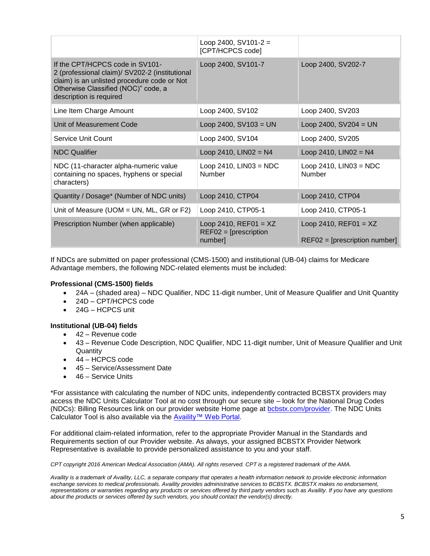|                                                                                                                                                                                                    | Loop 2400, SV101-2 =<br>[CPT/HCPCS code]                      |                                                            |
|----------------------------------------------------------------------------------------------------------------------------------------------------------------------------------------------------|---------------------------------------------------------------|------------------------------------------------------------|
| If the CPT/HCPCS code in SV101-<br>2 (professional claim)/ SV202-2 (institutional<br>claim) is an unlisted procedure code or Not<br>Otherwise Classified (NOC)" code, a<br>description is required | Loop 2400, SV101-7                                            | Loop 2400, SV202-7                                         |
| Line Item Charge Amount                                                                                                                                                                            | Loop 2400, SV102                                              | Loop 2400, SV203                                           |
| Unit of Measurement Code                                                                                                                                                                           | Loop 2400, $SV103 = UN$                                       | Loop 2400, $SV204 = UN$                                    |
| Service Unit Count                                                                                                                                                                                 | Loop 2400, SV104                                              | Loop 2400, SV205                                           |
| <b>NDC Qualifier</b>                                                                                                                                                                               | Loop 2410, $LINO2 = N4$                                       | Loop 2410, $LINO2 = N4$                                    |
| NDC (11-character alpha-numeric value<br>containing no spaces, hyphens or special<br>characters)                                                                                                   | Loop 2410, $LINO3 = NDC$<br><b>Number</b>                     | Loop 2410, $LINO3 = NDC$<br>Number                         |
| Quantity / Dosage* (Number of NDC units)                                                                                                                                                           | Loop 2410, CTP04                                              | Loop 2410, CTP04                                           |
| Unit of Measure (UOM = UN, ML, GR or F2)                                                                                                                                                           | Loop 2410, CTP05-1                                            | Loop 2410, CTP05-1                                         |
| Prescription Number (when applicable)                                                                                                                                                              | Loop 2410, $REF01 = XZ$<br>$REF02 = [prescription]$<br>number | Loop 2410, $REF01 = XZ$<br>$REF02 = [prescription number]$ |

If NDCs are submitted on paper professional (CMS-1500) and institutional (UB-04) claims for Medicare Advantage members, the following NDC-related elements must be included:

### **Professional (CMS-1500) fields**

- 24A (shaded area) NDC Qualifier, NDC 11-digit number, Unit of Measure Qualifier and Unit Quantity
- 24D CPT/HCPCS code
- 24G HCPCS unit
- **Institutional (UB-04) fields**
	- 42 Revenue code
	- 43 Revenue Code Description, NDC Qualifier, NDC 11-digit number, Unit of Measure Qualifier and Unit **Quantity**
	- 44 HCPCS code
	- 45 Service/Assessment Date
	- 46 Service Units

\*For assistance with calculating the number of NDC units, independently contracted BCBSTX providers may access the NDC Units Calculator Tool at no cost through our secure site – look for the National Drug Codes (NDCs): Billing Resources link on our provider website Home page at [bcbstx.com/provider.](https://www.bcbstx.com/provider) The NDC Units Calculator Tool is also available via the [Availity™ Web Portal.](http://www.availity.com/)

For additional claim-related information, refer to the appropriate Provider Manual in the Standards and Requirements section of our Provider website. As always, your assigned BCBSTX Provider Network Representative is available to provide personalized assistance to you and your staff.

*CPT copyright 2016 American Medical Association (AMA). All rights reserved. CPT is a registered trademark of the AMA.*

*Availity is a trademark of Availity, LLC, a separate company that operates a health information network to provide electronic information exchange services to medical professionals. Availity provides administrative services to BCBSTX. BCBSTX makes no endorsement, representations or warranties regarding any products or services offered by third party vendors such as Availity. If you have any questions about the products or services offered by such vendors, you should contact the vendor(s) directly.*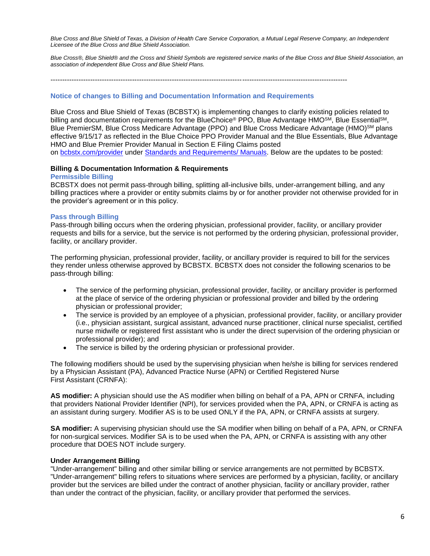*Blue Cross and Blue Shield of Texas, a Division of Health Care Service Corporation, a Mutual Legal Reserve Company, an Independent Licensee of the Blue Cross and Blue Shield Association.*

*Blue Cross®, Blue Shield® and the Cross and Shield Symbols are registered service marks of the Blue Cross and Blue Shield Association, an association of independent Blue Cross and Blue Shield Plans.*

-------------------------------------------------------------------------------------------------------------------------------

#### **Notice of changes to Billing and Documentation Information and Requirements**

Blue Cross and Blue Shield of Texas (BCBSTX) is implementing changes to clarify existing policies related to billing and documentation requirements for the BlueChoice® PPO, Blue Advantage HMO<sup>SM</sup>, Blue Essential<sup>SM</sup>, Blue PremierSM, Blue Cross Medicare Advantage (PPO) and Blue Cross Medicare Advantage (HMO)<sup>SM</sup> plans effective 9/15/17 as reflected in the Blue Choice PPO Provider Manual and the Blue Essentials, Blue Advantage HMO and Blue Premier Provider Manual in Section E Filing Claims posted on [bcbstx.com/provider](https://www.bcbstx.com/provider/) under [Standards and Requirements/ Manuals.](https://www.bcbstx.com/provider/gri/index.html) Below are the updates to be posted:

#### **Billing & Documentation Information & Requirements**

#### **Permissible Billing**

BCBSTX does not permit pass-through billing, splitting all-inclusive bills, under-arrangement billing, and any billing practices where a provider or entity submits claims by or for another provider not otherwise provided for in the provider's agreement or in this policy.

#### **Pass through Billing**

Pass-through billing occurs when the ordering physician, professional provider, facility, or ancillary provider requests and bills for a service, but the service is not performed by the ordering physician, professional provider, facility, or ancillary provider.

The performing physician, professional provider, facility, or ancillary provider is required to bill for the services they render unless otherwise approved by BCBSTX. BCBSTX does not consider the following scenarios to be pass-through billing:

- The service of the performing physician, professional provider, facility, or ancillary provider is performed at the place of service of the ordering physician or professional provider and billed by the ordering physician or professional provider;
- The service is provided by an employee of a physician, professional provider, facility, or ancillary provider (i.e., physician assistant, surgical assistant, advanced nurse practitioner, clinical nurse specialist, certified nurse midwife or registered first assistant who is under the direct supervision of the ordering physician or professional provider); and
- The service is billed by the ordering physician or professional provider.

The following modifiers should be used by the supervising physician when he/she is billing for services rendered by a Physician Assistant (PA), Advanced Practice Nurse (APN) or Certified Registered Nurse First Assistant (CRNFA):

**AS modifier:** A physician should use the AS modifier when billing on behalf of a PA, APN or CRNFA, including that providers National Provider Identifier (NPI), for services provided when the PA, APN, or CRNFA is acting as an assistant during surgery. Modifier AS is to be used ONLY if the PA, APN, or CRNFA assists at surgery.

**SA modifier:** A supervising physician should use the SA modifier when billing on behalf of a PA, APN, or CRNFA for non-surgical services. Modifier SA is to be used when the PA, APN, or CRNFA is assisting with any other procedure that DOES NOT include surgery.

#### **Under Arrangement Billing**

"Under-arrangement" billing and other similar billing or service arrangements are not permitted by BCBSTX. "Under-arrangement" billing refers to situations where services are performed by a physician, facility, or ancillary provider but the services are billed under the contract of another physician, facility or ancillary provider, rather than under the contract of the physician, facility, or ancillary provider that performed the services.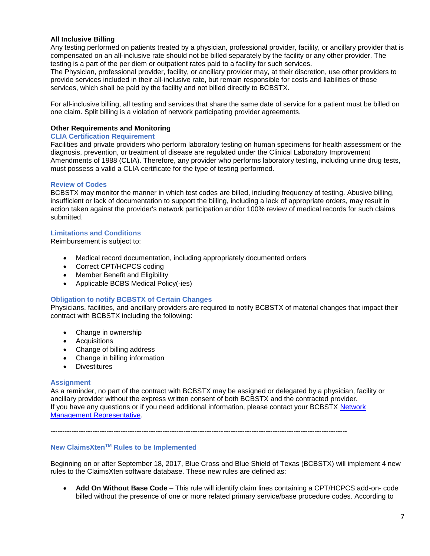### **All Inclusive Billing**

Any testing performed on patients treated by a physician, professional provider, facility, or ancillary provider that is compensated on an all-inclusive rate should not be billed separately by the facility or any other provider. The testing is a part of the per diem or outpatient rates paid to a facility for such services.

The Physician, professional provider, facility, or ancillary provider may, at their discretion, use other providers to provide services included in their all-inclusive rate, but remain responsible for costs and liabilities of those services, which shall be paid by the facility and not billed directly to BCBSTX.

For all-inclusive billing, all testing and services that share the same date of service for a patient must be billed on one claim. Split billing is a violation of network participating provider agreements.

#### **Other Requirements and Monitoring**

#### **CLIA Certification Requirement**

Facilities and private providers who perform laboratory testing on human specimens for health assessment or the diagnosis, prevention, or treatment of disease are regulated under the Clinical Laboratory Improvement Amendments of 1988 (CLIA). Therefore, any provider who performs laboratory testing, including urine drug tests, must possess a valid a CLIA certificate for the type of testing performed.

#### **Review of Codes**

BCBSTX may monitor the manner in which test codes are billed, including frequency of testing. Abusive billing, insufficient or lack of documentation to support the billing, including a lack of appropriate orders, may result in action taken against the provider's network participation and/or 100% review of medical records for such claims submitted.

#### **Limitations and Conditions**

Reimbursement is subject to:

- Medical record documentation, including appropriately documented orders
- Correct CPT/HCPCS coding
- Member Benefit and Eligibility
- Applicable BCBS Medical Policy(-ies)

#### **Obligation to notify BCBSTX of Certain Changes**

Physicians, facilities, and ancillary providers are required to notify BCBSTX of material changes that impact their contract with BCBSTX including the following:

- Change in ownership
- **Acquisitions**
- Change of billing address
- Change in billing information
- Divestitures

#### **Assignment**

As a reminder, no part of the contract with BCBSTX may be assigned or delegated by a physician, facility or ancillary provider without the express written consent of both BCBSTX and the contracted provider. If you have any questions or if you need additional information, please contact your BCBSTX [Network](https://www.bcbstx.com/provider/contact_us.html)  [Management Representative.](https://www.bcbstx.com/provider/contact_us.html)

-------------------------------------------------------------------------------------------------------------------------------

#### **New ClaimsXtenTM Rules to be Implemented**

Beginning on or after September 18, 2017, Blue Cross and Blue Shield of Texas (BCBSTX) will implement 4 new rules to the ClaimsXten software database. These new rules are defined as:

• **Add On Without Base Code** – This rule will identify claim lines containing a CPT/HCPCS add-on- code billed without the presence of one or more related primary service/base procedure codes. According to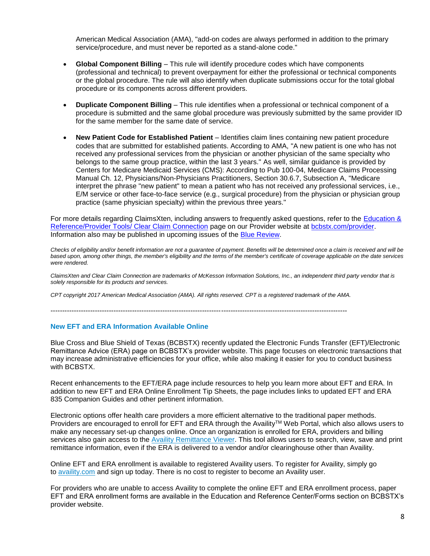American Medical Association (AMA), "add-on codes are always performed in addition to the primary service/procedure, and must never be reported as a stand-alone code."

- **Global Component Billing** This rule will identify procedure codes which have components (professional and technical) to prevent overpayment for either the professional or technical components or the global procedure. The rule will also identify when duplicate submissions occur for the total global procedure or its components across different providers.
- **Duplicate Component Billing** This rule identifies when a professional or technical component of a procedure is submitted and the same global procedure was previously submitted by the same provider ID for the same member for the same date of service.
- **New Patient Code for Established Patient** Identifies claim lines containing new patient procedure codes that are submitted for established patients. According to AMA, "A new patient is one who has not received any professional services from the physician or another physician of the same specialty who belongs to the same group practice, within the last 3 years." As well, similar guidance is provided by Centers for Medicare Medicaid Services (CMS): According to Pub 100-04, Medicare Claims Processing Manual Ch. 12, Physicians/Non-Physicians Practitioners, Section 30.6.7, Subsection A, "Medicare interpret the phrase "new patient" to mean a patient who has not received any professional services, i.e., E/M service or other face-to-face service (e.g., surgical procedure) from the physician or physician group practice (same physician specialty) within the previous three years."

For more details regarding ClaimsXten, including answers to frequently asked questions, refer to the [Education &](https://www.bcbstx.com/provider/tools/clear_claim_connection.html)  [Reference/Provider Tools/ Clear Claim Connection](https://www.bcbstx.com/provider/tools/clear_claim_connection.html) page on our Provider website at [bcbstx.com/provider.](https://www.bcbstx.com/provider/index.html) Information also may be published in upcoming issues of the [Blue Review.](https://www.bcbstx.com/provider/news/bluereview.html)

*Checks of eligibility and/or benefit information are not a guarantee of payment. Benefits will be determined once a claim is received and will be based upon, among other things, the member's eligibility and the terms of the member's certificate of coverage applicable on the date services were rendered.*

*ClaimsXten and Clear Claim Connection are trademarks of McKesson Information Solutions, Inc., an independent third party vendor that is solely responsible for its products and services.*

*CPT copyright 2017 American Medical Association (AMA). All rights reserved. CPT is a registered trademark of the AMA.*

-------------------------------------------------------------------------------------------------------------------------------

#### **New EFT and ERA Information Available Online**

Blue Cross and Blue Shield of Texas (BCBSTX) recently updated the Electronic Funds Transfer (EFT)/Electronic Remittance Advice (ERA) page on BCBSTX's provider website. This page focuses on electronic transactions that may increase administrative efficiencies for your office, while also making it easier for you to conduct business with BCBSTX.

Recent enhancements to the EFT/ERA page include resources to help you learn more about EFT and ERA. In addition to new EFT and ERA Online Enrollment Tip Sheets, the page includes links to updated EFT and ERA 835 Companion Guides and other pertinent information.

Electronic options offer health care providers a more efficient alternative to the traditional paper methods. Providers are encouraged to enroll for EFT and ERA through the Availity™ Web Portal, which also allows users to make any necessary set-up changes online. Once an organization is enrolled for ERA, providers and billing services also gain access to the Availity [Remittance](https://www.bcbstx.com/provider/tools/remittance_viewer_webinars.html) Viewer. This tool allows users to search, view, save and print remittance information, even if the ERA is delivered to a vendor and/or clearinghouse other than Availity.

Online EFT and ERA enrollment is available to registered Availity users. To register for Availity, simply go to [availity.com](https://www.availity.com/) and sign up today. There is no cost to register to become an Availity user.

For providers who are unable to access Availity to complete the online EFT and ERA enrollment process, paper EFT and ERA enrollment forms are available in the Education and Reference Center/Forms section on BCBSTX's provider website.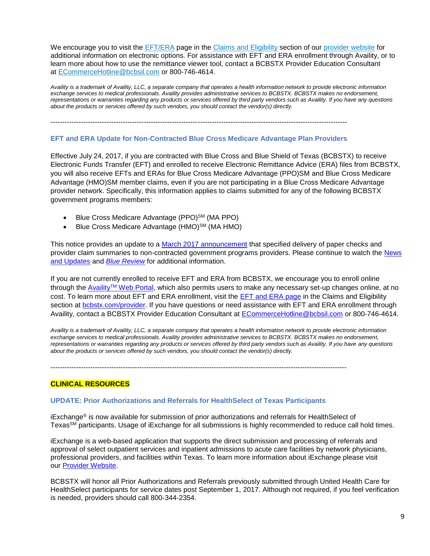We encourage you to visit the [EFT/ERA](https://www.bcbstx.com/provider/claims/era.html) page in the Claims and [Eligibility](https://www.bcbstx.com/provider/claims/index.html) section of our [provider](https://www.bcbstx.com/provider/) website for additional information on electronic options. For assistance with EFT and ERA enrollment through Availity, or to learn more about how to use the remittance viewer tool, contact a BCBSTX Provider Education Consultant at [ECommerceHotline@bcbsil.com](https://www.bcbsil.com/provider/claims/electronic_commerce.html) or 800-746-4614.

*Availity is a trademark of Availity, LLC, a separate company that operates a health information network to provide electronic information exchange services to medical professionals. Availity provides administrative services to BCBSTX. BCBSTX makes no endorsement, representations or warranties regarding any products or services offered by third party vendors such as Availity. If you have any questions about the products or services offered by such vendors, you should contact the vendor(s) directly.*

-------------------------------------------------------------------------------------------------------------------------------

#### **EFT and ERA Update for Non-Contracted Blue Cross Medicare Advantage Plan Providers**

Effective July 24, 2017, if you are contracted with Blue Cross and Blue Shield of Texas (BCBSTX) to receive Electronic Funds Transfer (EFT) and enrolled to receive Electronic Remittance Advice (ERA) files from BCBSTX, you will also receive EFTs and ERAs for Blue Cross Medicare Advantage (PPO)SM and Blue Cross Medicare Advantage (HMO)SM member claims, even if you are not participating in a Blue Cross Medicare Advantage provider network. Specifically, this information applies to claims submitted for any of the following BCBSTX government programs members:

- Blue Cross Medicare Advantage (PPO)<sup>SM</sup> (MA PPO)
- Blue Cross Medicare Advantage  $(HMO)^{SM}$  (MA HMO)

This notice provides an update to a [March 2017 announcement](https://www.bcbstx.com/provider/news/2017_03_10.html) that specified delivery of paper checks and provider claim summaries to non-contracted government programs providers. Please continue to watch the [News](https://www.bcbstx.com/provider/news/index.html)  [and Updates](https://www.bcbstx.com/provider/news/index.html) and *[Blue Review](https://www.bcbstx.com/provider/news/bluereview.html)* for additional information.

If you are not currently enrolled to receive EFT and ERA from BCBSTX, we encourage you to enroll online through the Availity<sup>TM</sup> [Web Portal,](https://www.availity.com/) which also permits users to make any necessary set-up changes online, at no cost. To learn more about EFT and ERA enrollment, visit the [EFT and ERA page](https://www.bcbstx.com/provider/claims/era.html) in the Claims and Eligibility section at **bcbstx.com/provider**. If you have questions or need assistance with EFT and ERA enrollment through Availity, contact a BCBSTX Provider Education Consultant at [ECommerceHotline@bcbsil.com](mailto:ecommercehotline@bcbsil.com) or 800-746-4614.

*Availity is a trademark of Availity, LLC, a separate company that operates a health information network to provide electronic information exchange services to medical professionals. Availity provides administrative services to BCBSTX. BCBSTX makes no endorsement, representations or warranties regarding any products or services offered by third party vendors such as Availity. If you have any questions about the products or services offered by such vendors, you should contact the vendor(s) directly.*

-------------------------------------------------------------------------------------------------------------------------------

## **CLINICAL RESOURCES**

#### **UPDATE: Prior Authorizations and Referrals for HealthSelect of Texas Participants**

iExchange® is now available for submission of prior authorizations and referrals for HealthSelect of TexasSM participants. Usage of iExchange for all submissions is highly recommended to reduce call hold times.

iExchange is a web-based application that supports the direct submission and processing of referrals and approval of select outpatient services and inpatient admissions to acute care facilities by network physicians, professional providers, and facilities within Texas. To learn more information about iExchange please visit our [Provider Website.](https://www.bcbstx.com/provider/tools/iexchange_index.html)

BCBSTX will honor all Prior Authorizations and Referrals previously submitted through United Health Care for HealthSelect participants for service dates post September 1, 2017. Although not required, if you feel verification is needed, providers should call 800-344-2354.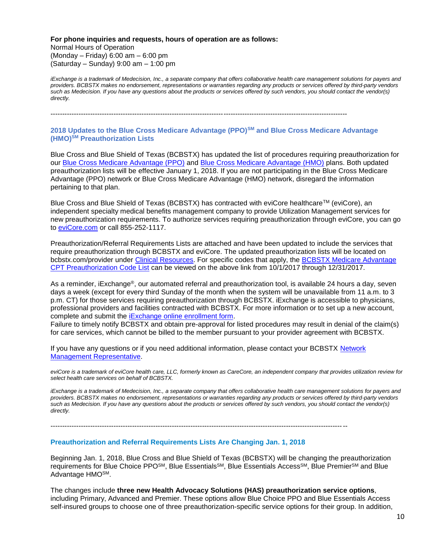**For phone inquiries and requests, hours of operation are as follows:** Normal Hours of Operation (Monday – Friday) 6:00 am – 6:00 pm (Saturday – Sunday) 9:00 am – 1:00 pm

*iExchange is a trademark of Medecision, Inc., a separate company that offers collaborative health care management solutions for payers and providers. BCBSTX makes no endorsement, representations or warranties regarding any products or services offered by third-party vendors such as Medecision. If you have any questions about the products or services offered by such vendors, you should contact the vendor(s) directly.*

-------------------------------------------------------------------------------------------------------------------------------

#### **2018 Updates to the Blue Cross Medicare Advantage (PPO)SM and Blue Cross Medicare Advantage (HMO)SM Preauthorization Lists**

Blue Cross and Blue Shield of Texas (BCBSTX) has updated the list of procedures requiring preauthorization for our [Blue Cross Medicare Advantage \(PPO\)](https://www.bcbstx.com/provider/pdf/ma-preauthlist-01012018.pdf) and [Blue Cross Medicare Advantage \(HMO\)](https://www.bcbstx.com/provider/pdf/ma-preauthlist-01012018.pdf) plans. Both updated preauthorization lists will be effective January 1, 2018. If you are not participating in the Blue Cross Medicare Advantage (PPO) network or Blue Cross Medicare Advantage (HMO) network, disregard the information pertaining to that plan.

Blue Cross and Blue Shield of Texas (BCBSTX) has contracted with eviCore healthcare™ (eviCore), an independent specialty medical benefits management company to provide Utilization Management services for new preauthorization requirements. To authorize services requiring preauthorization through eviCore, you can go to [eviCore.com](https://www.evicore.com/) or call 855-252-1117.

Preauthorization/Referral Requirements Lists are attached and have been updated to include the services that require preauthorization through BCBSTX and eviCore. The updated preauthorization lists will be located on bcbstx.com/provider under [Clinical Resources.](https://www.bcbstx.com/provider/clinical/index.html) For specific codes that apply, the [BCBSTX Medicare Advantage](https://www.bcbstx.com/provider/pdf/ma-preauth-cpt-list-01012018.pdf)  [CPT Preauthorization Code List](https://www.bcbstx.com/provider/pdf/ma-preauth-cpt-list-01012018.pdf) can be viewed on the above link from 10/1/2017 through 12/31/2017.

As a reminder, iExchange®, our automated referral and preauthorization tool, is available 24 hours a day, seven days a week (except for every third Sunday of the month when the system will be unavailable from 11 a.m. to 3 p.m. CT) for those services requiring preauthorization through BCBSTX. iExchange is accessible to physicians, professional providers and facilities contracted with BCBSTX. For more information or to set up a new account, complete and submit the **iExchange online enrollment form**.

Failure to timely notify BCBSTX and obtain pre-approval for listed procedures may result in denial of the claim(s) for care services, which cannot be billed to the member pursuant to your provider agreement with BCBSTX.

If you have any questions or if you need additional information, please contact your BCBSTX [Network](https://www.bcbstx.com/provider/contact_us.html#localnetwork)  [Management Representative.](https://www.bcbstx.com/provider/contact_us.html#localnetwork)

*eviCore is a trademark of eviCore health care, LLC, formerly known as CareCore, an independent company that provides utilization review for select health care services on behalf of BCBSTX.*

*iExchange is a trademark of Medecision, Inc., a separate company that offers collaborative health care management solutions for payers and providers. BCBSTX makes no endorsement, representations or warranties regarding any products or services offered by third-party vendors such as Medecision. If you have any questions about the products or services offered by such vendors, you should contact the vendor(s) directly.*

-------------------------------------------------------------------------------------------------------------------------------

#### **Preauthorization and Referral Requirements Lists Are Changing Jan. 1, 2018**

Beginning Jan. 1, 2018, Blue Cross and Blue Shield of Texas (BCBSTX) will be changing the preauthorization requirements for Blue Choice PPO<sup>SM</sup>, Blue Essentials<sup>SM</sup>, Blue Essentials Access<sup>SM</sup>, Blue Premier<sup>SM</sup> and Blue Advantage HMOSM.

The changes include **three new Health Advocacy Solutions (HAS) preauthorization service options**, including Primary, Advanced and Premier. These options allow Blue Choice PPO and Blue Essentials Access self-insured groups to choose one of three preauthorization-specific service options for their group. In addition,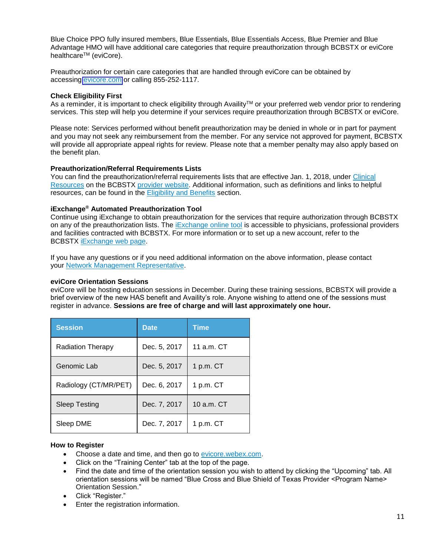Blue Choice PPO fully insured members, Blue Essentials, Blue Essentials Access, Blue Premier and Blue Advantage HMO will have additional care categories that require preauthorization through BCBSTX or eviCore healthcare<sup>™</sup> (eviCore).

Preauthorization for certain care categories that are handled through eviCore can be obtained by accessing [evicore.com](https://www.evicore.com/) or calling 855-252-1117.

#### **Check Eligibility First**

As a reminder, it is important to check eligibility through Availity™ or your preferred web vendor prior to rendering services. This step will help you determine if your services require preauthorization through BCBSTX or eviCore.

Please note: Services performed without benefit preauthorization may be denied in whole or in part for payment and you may not seek any reimbursement from the member. For any service not approved for payment, BCBSTX will provide all appropriate appeal rights for review. Please note that a member penalty may also apply based on the benefit plan.

#### **Preauthorization/Referral Requirements Lists**

You can find the preauthorization/referral requirements lists that are effective Jan. 1, 2018, under [Clinical](https://www.bcbstx.com/provider/clinical/index.html) [Resources](https://www.bcbstx.com/provider/clinical/index.html) on the BCBSTX [provider](https://www.bcbstx.com/provider/) website. Additional information, such as definitions and links to helpful resources, can be found in the **[Eligibility](https://www.bcbstx.com/provider/claims/eligibility_and_benefits.html) and Benefits** section.

### **iExchange® Automated Preauthorization Tool**

Continue using iExchange to obtain preauthorization for the services that require authorization through BCBSTX on any of the preauthorization lists. The [iExchange](https://www.bcbstx.com/provider/tools/iexchange_index.html) online tool is accessible to physicians, professional providers and facilities contracted with BCBSTX. For more information or to set up a new account, refer to the BCBSTX [iExchange](https://www.bcbstx.com/provider/tools/iexchange_index.html) web page.

If you have any questions or if you need additional information on the above information, please contact your Network Management [Representative](https://www.bcbstx.com/provider/contact_us.html).

#### **eviCore Orientation Sessions**

eviCore will be hosting education sessions in December. During these training sessions, BCBSTX will provide a brief overview of the new HAS benefit and Availity's role. Anyone wishing to attend one of the sessions must register in advance. **Sessions are free of charge and will last approximately one hour.**

| <b>Session</b>           | <b>Date</b>  | Time        |
|--------------------------|--------------|-------------|
| <b>Radiation Therapy</b> | Dec. 5, 2017 | 11 a.m. CT  |
| Genomic Lab              | Dec. 5, 2017 | 1 p.m. $CT$ |
| Radiology (CT/MR/PET)    | Dec. 6, 2017 | 1 p.m. $CT$ |
| Sleep Testing            | Dec. 7, 2017 | 10 a.m. CT  |
| Sleep DME                | Dec. 7, 2017 | 1 p.m. CT   |

#### **How to Register**

- Choose a date and time, and then go to [evicore.webex.com](https://evicore.webex.com/mw3300/mywebex/default.do?siteurl=evicore).
- Click on the "Training Center" tab at the top of the page.
- Find the date and time of the orientation session you wish to attend by clicking the "Upcoming" tab. All orientation sessions will be named "Blue Cross and Blue Shield of Texas Provider <Program Name> Orientation Session."
- Click "Register."
- Enter the registration information.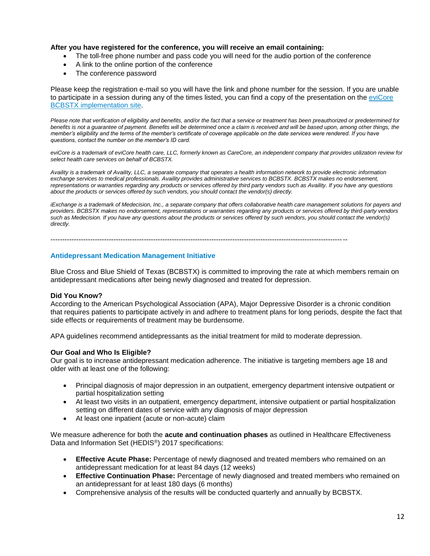### **After you have registered for the conference, you will receive an email containing:**

- The toll-free phone number and pass code you will need for the audio portion of the conference
- A link to the online portion of the conference
- The conference password

Please keep the registration e-mail so you will have the link and phone number for the session. If you are unable to participate in a session during any of the times listed, you can find a copy of the presentation on the [eviCore](https://www.evicore.com/healthplan/bcbstx_c) BCBSTX [implementation](https://www.evicore.com/healthplan/bcbstx_c) site.

Please note that verification of eligibility and benefits, and/or the fact that a service or treatment has been preauthorized or predetermined for *benefits is not a guarantee of payment. Benefits will be determined once a claim is received and will be based upon, among other things, the member's eligibility and the terms of the member's certificate of coverage applicable on the date services were rendered. If you have questions, contact the number on the member's ID card.*

*eviCore is a trademark of eviCore health care, LLC, formerly known as CareCore, an independent company that provides utilization review for select health care services on behalf of BCBSTX.*

*Availity is a trademark of Availity, LLC, a separate company that operates a health information network to provide electronic information exchange services to medical professionals. Availity provides administrative services to BCBSTX. BCBSTX makes no endorsement, representations or warranties regarding any products or services offered by third party vendors such as Availity. If you have any questions about the products or services offered by such vendors, you should contact the vendor(s) directly.*

*iExchange is a trademark of Medecision, Inc., a separate company that offers collaborative health care management solutions for payers and providers. BCBSTX makes no endorsement, representations or warranties regarding any products or services offered by third-party vendors such as Medecision. If you have any questions about the products or services offered by such vendors, you should contact the vendor(s) directly.*

-------------------------------------------------------------------------------------------------------------------------------

#### **Antidepressant Medication Management Initiative**

Blue Cross and Blue Shield of Texas (BCBSTX) is committed to improving the rate at which members remain on antidepressant medications after being newly diagnosed and treated for depression.

#### **Did You Know?**

According to the American Psychological Association (APA), Major Depressive Disorder is a chronic condition that requires patients to participate actively in and adhere to treatment plans for long periods, despite the fact that side effects or requirements of treatment may be burdensome.

APA guidelines recommend antidepressants as the initial treatment for mild to moderate depression.

#### **Our Goal and Who Is Eligible?**

Our goal is to increase antidepressant medication adherence. The initiative is targeting members age 18 and older with at least one of the following:

- Principal diagnosis of major depression in an outpatient, emergency department intensive outpatient or partial hospitalization setting
- At least two visits in an outpatient, emergency department, intensive outpatient or partial hospitalization setting on different dates of service with any diagnosis of major depression
- At least one inpatient (acute or non-acute) claim

We measure adherence for both the **acute and continuation phases** as outlined in Healthcare Effectiveness Data and Information Set (HEDIS®) 2017 specifications:

- **Effective Acute Phase:** Percentage of newly diagnosed and treated members who remained on an antidepressant medication for at least 84 days (12 weeks)
- **Effective Continuation Phase:** Percentage of newly diagnosed and treated members who remained on an antidepressant for at least 180 days (6 months)
- Comprehensive analysis of the results will be conducted quarterly and annually by BCBSTX.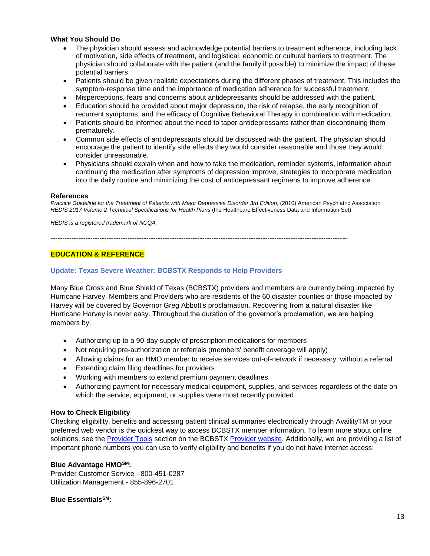## **What You Should Do**

- The physician should assess and acknowledge potential barriers to treatment adherence, including lack of motivation, side effects of treatment, and logistical, economic or cultural barriers to treatment. The physician should collaborate with the patient (and the family if possible) to minimize the impact of these potential barriers.
- Patients should be given realistic expectations during the different phases of treatment. This includes the symptom-response time and the importance of medication adherence for successful treatment.
- Misperceptions, fears and concerns about antidepressants should be addressed with the patient.
- Education should be provided about major depression, the risk of relapse, the early recognition of recurrent symptoms, and the efficacy of Cognitive Behavioral Therapy in combination with medication.
- Patients should be informed about the need to taper antidepressants rather than discontinuing them prematurely.
- Common side effects of antidepressants should be discussed with the patient. The physician should encourage the patient to identify side effects they would consider reasonable and those they would consider unreasonable.
- Physicians should explain when and how to take the medication, reminder systems, information about continuing the medication after symptoms of depression improve, strategies to incorporate medication into the daily routine and minimizing the cost of antidepressant regimens to improve adherence.

#### **References**

*Practice Guideline for the Treatment of Patients with Major Depressive Disorder 3rd Edition*, (2010) American Psychiatric Association *HEDIS 2017 Volume 2 Technical Specifications for Health Plans* (the Healthcare Effectiveness Data and Information Set)

*HEDIS is a registered trademark of NCQA.*

-------------------------------------------------------------------------------------------------------------------------------

### **EDUCATION & REFERENCE**

### **Update: Texas Severe Weather: BCBSTX Responds to Help Providers**

Many Blue Cross and Blue Shield of Texas (BCBSTX) providers and members are currently being impacted by Hurricane Harvey. Members and Providers who are residents of the 60 disaster counties or those impacted by Harvey will be covered by Governor Greg Abbott's proclamation. Recovering from a natural disaster like Hurricane Harvey is never easy. Throughout the duration of the governor's proclamation, we are helping members by:

- Authorizing up to a 90-day supply of prescription medications for members
- Not requiring pre-authorization or referrals (members' benefit coverage will apply)
- Allowing claims for an HMO member to receive services out-of-network if necessary, without a referral
- Extending claim filing deadlines for providers
- Working with members to extend premium payment deadlines
- Authorizing payment for necessary medical equipment, supplies, and services regardless of the date on which the service, equipment, or supplies were most recently provided

#### **How to Check Eligibility**

Checking eligibility, benefits and accessing patient clinical summaries electronically through AvailityTM or your preferred web vendor is the quickest way to access BCBSTX member information. To learn more about online solutions, see the [Provider Tools](https://www.bcbstx.com/provider/tools/iexchange_index.html) section on the BCBSTX [Provider website.](https://www.bcbstx.com/provider/index.html) Additionally, we are providing a list of important phone numbers you can use to verify eligibility and benefits if you do not have internet access:

#### **Blue Advantage HMOSM:**

Provider Customer Service - 800-451-0287 Utilization Management - 855-896-2701

#### **Blue EssentialsSM:**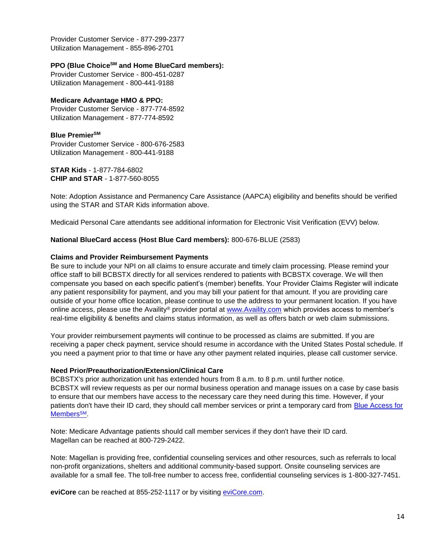Provider Customer Service - 877-299-2377 Utilization Management - 855-896-2701

### **PPO (Blue ChoiceSM and Home BlueCard members):**

Provider Customer Service - 800-451-0287 Utilization Management - 800-441-9188

#### **Medicare Advantage HMO & PPO:**

Provider Customer Service - 877-774-8592 Utilization Management - 877-774-8592

### **Blue PremierSM**

Provider Customer Service - 800-676-2583 Utilization Management - 800-441-9188

**STAR Kids** - 1-877-784-6802 **CHIP and STAR** - 1-877-560-8055

Note: Adoption Assistance and Permanency Care Assistance (AAPCA) eligibility and benefits should be verified using the STAR and STAR Kids information above.

Medicaid Personal Care attendants see additional information for Electronic Visit Verification (EVV) below.

## **National BlueCard access (Host Blue Card members):** 800-676-BLUE (2583)

### **Claims and Provider Reimbursement Payments**

Be sure to include your NPI on all claims to ensure accurate and timely claim processing. Please remind your office staff to bill BCBSTX directly for all services rendered to patients with BCBSTX coverage. We will then compensate you based on each specific patient's (member) benefits. Your Provider Claims Register will indicate any patient responsibility for payment, and you may bill your patient for that amount. If you are providing care outside of your home office location, please continue to use the address to your permanent location. If you have online access, please use the Availity® provider portal at [www.Availity.com](http://www.availity.com/) which provides access to member's real-time eligibility & benefits and claims status information, as well as offers batch or web claim submissions.

Your provider reimbursement payments will continue to be processed as claims are submitted. If you are receiving a paper check payment, service should resume in accordance with the United States Postal schedule. If you need a payment prior to that time or have any other payment related inquiries, please call customer service.

#### **Need Prior/Preauthorization/Extension/Clinical Care**

BCBSTX's prior authorization unit has extended hours from 8 a.m. to 8 p.m. until further notice. BCBSTX will review requests as per our normal business operation and manage issues on a case by case basis to ensure that our members have access to the necessary care they need during this time. However, if your patients don't have their ID card, they should call member services or print a temporary card from [Blue Access for](https://www.bcbstx.com/member/)  [Members](https://www.bcbstx.com/member/)<sup>SM</sup>.

Note: Medicare Advantage patients should call member services if they don't have their ID card. Magellan can be reached at 800-729-2422.

Note: Magellan is providing free, confidential counseling services and other resources, such as referrals to local non-profit organizations, shelters and additional community-based support. Onsite counseling services are available for a small fee. The toll-free number to access free, confidential counseling services is 1-800-327-7451.

**eviCore** can be reached at 855-252-1117 or by visiting [eviCore.com.](https://www.evicore.com/healthplan/bcbs)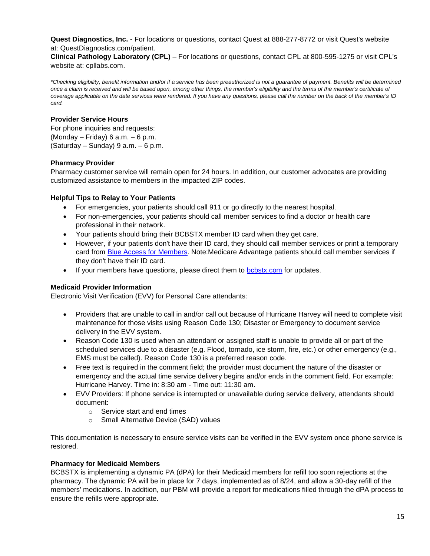**Quest Diagnostics, Inc.** - For locations or questions, contact Quest at 888-277-8772 or visit Quest's website at: QuestDiagnostics.com/patient.

**Clinical Pathology Laboratory (CPL)** – For locations or questions, contact CPL at 800-595-1275 or visit CPL's website at: cpllabs.com.

*\*Checking eligibility, benefit information and/or if a service has been preauthorized is not a guarantee of payment. Benefits will be determined once a claim is received and will be based upon, among other things, the member's eligibility and the terms of the member's certificate of coverage applicable on the date services were rendered. If you have any questions, please call the number on the back of the member's ID card.*

#### **Provider Service Hours**

For phone inquiries and requests: (Monday – Friday) 6 a.m. – 6 p.m. (Saturday – Sunday)  $9$  a.m. – 6 p.m.

#### **Pharmacy Provider**

Pharmacy customer service will remain open for 24 hours. In addition, our customer advocates are providing customized assistance to members in the impacted ZIP codes.

#### **Helpful Tips to Relay to Your Patients**

- For emergencies, your patients should call 911 or go directly to the nearest hospital.
- For non-emergencies, your patients should call member services to find a doctor or health care professional in their network.
- Your patients should bring their BCBSTX member ID card when they get care.
- However, if your patients don't have their ID card, they should call member services or print a temporary card from [Blue Access for Members.](https://www.bcbstx.com/member/) Note:Medicare Advantage patients should call member services if they don't have their ID card.
- If your members have questions, please direct them to [bcbstx.com](https://www.bcbstx.com/) for updates.

## **Medicaid Provider Information**

Electronic Visit Verification (EVV) for Personal Care attendants:

- Providers that are unable to call in and/or call out because of Hurricane Harvey will need to complete visit maintenance for those visits using Reason Code 130; Disaster or Emergency to document service delivery in the EVV system.
- Reason Code 130 is used when an attendant or assigned staff is unable to provide all or part of the scheduled services due to a disaster (e.g. Flood, tornado, ice storm, fire, etc.) or other emergency (e.g., EMS must be called). Reason Code 130 is a preferred reason code.
- Free text is required in the comment field; the provider must document the nature of the disaster or emergency and the actual time service delivery begins and/or ends in the comment field. For example: Hurricane Harvey. Time in: 8:30 am - Time out: 11:30 am.
- EVV Providers: If phone service is interrupted or unavailable during service delivery, attendants should document:
	- o Service start and end times
	- o Small Alternative Device (SAD) values

This documentation is necessary to ensure service visits can be verified in the EVV system once phone service is restored.

#### **Pharmacy for Medicaid Members**

BCBSTX is implementing a dynamic PA (dPA) for their Medicaid members for refill too soon rejections at the pharmacy. The dynamic PA will be in place for 7 days, implemented as of 8/24, and allow a 30-day refill of the members' medications. In addition, our PBM will provide a report for medications filled through the dPA process to ensure the refills were appropriate.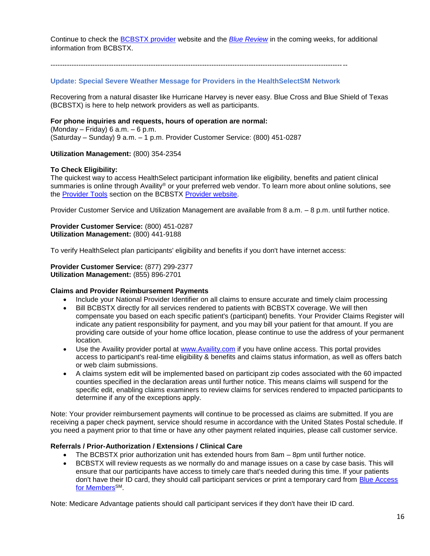Continue to check the [BCBSTX provider](https://www.bcbstx.com/provider/index.html) website and the *[Blue Review](https://www.bcbstx.com/provider/news/bluereview.html)* in the coming weeks, for additional information from BCBSTX.

-------------------------------------------------------------------------------------------------------------------------------

#### **Update: Special Severe Weather Message for Providers in the HealthSelectSM Network**

Recovering from a natural disaster like Hurricane Harvey is never easy. Blue Cross and Blue Shield of Texas (BCBSTX) is here to help network providers as well as participants.

#### **For phone inquiries and requests, hours of operation are normal:**

(Monday – Friday) 6 a.m. – 6 p.m. (Saturday – Sunday) 9 a.m. – 1 p.m. Provider Customer Service: (800) 451-0287

#### **Utilization Management:** (800) 354-2354

#### **To Check Eligibility:**

The quickest way to access HealthSelect participant information like eligibility, benefits and patient clinical summaries is online through Availity® or your preferred web vendor. To learn more about online solutions, see the [Provider Tools](https://www.bcbstx.com/provider/tools/iexchange_index.html) section on the BCBSTX [Provider website.](https://www.bcbstx.com/provider/index.html)

Provider Customer Service and Utilization Management are available from 8 a.m. – 8 p.m. until further notice.

**Provider Customer Service:** (800) 451-0287 **Utilization Management:** (800) 441-9188

To verify HealthSelect plan participants' eligibility and benefits if you don't have internet access:

**Provider Customer Service:** (877) 299-2377 **Utilization Management:** (855) 896-2701

#### **Claims and Provider Reimbursement Payments**

- Include your National Provider Identifier on all claims to ensure accurate and timely claim processing
- Bill BCBSTX directly for all services rendered to patients with BCBSTX coverage. We will then compensate you based on each specific patient's (participant) benefits. Your Provider Claims Register will indicate any patient responsibility for payment, and you may bill your patient for that amount. If you are providing care outside of your home office location, please continue to use the address of your permanent location.
- Use the Availity provider portal at [www.Availity.com](http://www.availity.com/) if you have online access. This portal provides access to participant's real-time eligibility & benefits and claims status information, as well as offers batch or web claim submissions.
- A claims system edit will be implemented based on participant zip codes associated with the 60 impacted counties specified in the declaration areas until further notice. This means claims will suspend for the specific edit, enabling claims examiners to review claims for services rendered to impacted participants to determine if any of the exceptions apply.

Note: Your provider reimbursement payments will continue to be processed as claims are submitted. If you are receiving a paper check payment, service should resume in accordance with the United States Postal schedule. If you need a payment prior to that time or have any other payment related inquiries, please call customer service.

#### **Referrals / Prior-Authorization / Extensions / Clinical Care**

- The BCBSTX prior authorization unit has extended hours from 8am 8pm until further notice.
- BCBSTX will review requests as we normally do and manage issues on a case by case basis. This will ensure that our participants have access to timely care that's needed during this time. If your patients don't have their ID card, they should call participant services or print a temporary card from Blue Access [for Members](https://www.bcbstx.com/member/)<sup>SM</sup>.

Note: Medicare Advantage patients should call participant services if they don't have their ID card.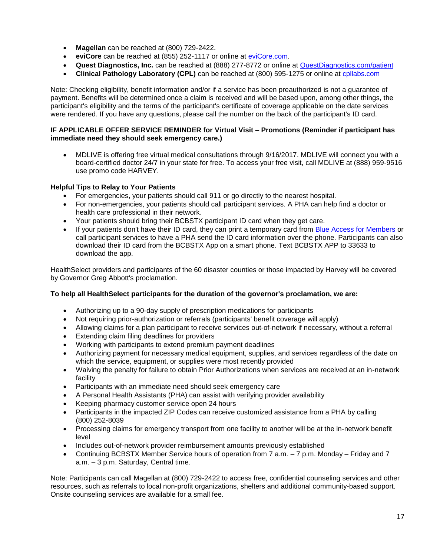- **Magellan** can be reached at (800) 729-2422.
- **eviCore** can be reached at (855) 252-1117 or online at [eviCore.com.](https://www.evicore.com/healthplan/bcbs)
- **Quest Diagnostics, Inc.** can be reached at (888) 277-8772 or online at [QuestDiagnostics.com/patient](http://questdiagnostics.com/patient)
- **Clinical Pathology Laboratory (CPL)** can be reached at (800) 595-1275 or online at [cpllabs.com](http://cpllabs.com/)

Note: Checking eligibility, benefit information and/or if a service has been preauthorized is not a guarantee of payment. Benefits will be determined once a claim is received and will be based upon, among other things, the participant's eligibility and the terms of the participant's certificate of coverage applicable on the date services were rendered. If you have any questions, please call the number on the back of the participant's ID card.

#### **IF APPLICABLE OFFER SERVICE REMINDER for Virtual Visit – Promotions (Reminder if participant has immediate need they should seek emergency care.)**

• MDLIVE is offering free virtual medical consultations through 9/16/2017. MDLIVE will connect you with a board-certified doctor 24/7 in your state for free. To access your free visit, call MDLIVE at (888) 959-9516 use promo code HARVEY.

## **Helpful Tips to Relay to Your Patients**

- For emergencies, your patients should call 911 or go directly to the nearest hospital.
- For non-emergencies, your patients should call participant services. A PHA can help find a doctor or health care professional in their network.
- Your patients should bring their BCBSTX participant ID card when they get care.
- If your patients don't have their ID card, they can print a temporary card from [Blue Access for Members](https://www.bcbstx.com/member/) or call participant services to have a PHA send the ID card information over the phone. Participants can also download their ID card from the BCBSTX App on a smart phone. Text BCBSTX APP to 33633 to download the app.

HealthSelect providers and participants of the 60 disaster counties or those impacted by Harvey will be covered by Governor Greg Abbott's proclamation.

## **To help all HealthSelect participants for the duration of the governor's proclamation, we are:**

- Authorizing up to a 90-day supply of prescription medications for participants
- Not requiring prior-authorization or referrals (participants' benefit coverage will apply)
- Allowing claims for a plan participant to receive services out-of-network if necessary, without a referral
- Extending claim filing deadlines for providers
- Working with participants to extend premium payment deadlines
- Authorizing payment for necessary medical equipment, supplies, and services regardless of the date on which the service, equipment, or supplies were most recently provided
- Waiving the penalty for failure to obtain Prior Authorizations when services are received at an in-network facility
- Participants with an immediate need should seek emergency care
- A Personal Health Assistants (PHA) can assist with verifying provider availability
- Keeping pharmacy customer service open 24 hours
- Participants in the impacted ZIP Codes can receive customized assistance from a PHA by calling (800) 252-8039
- Processing claims for emergency transport from one facility to another will be at the in-network benefit level
- Includes out-of-network provider reimbursement amounts previously established
- Continuing BCBSTX Member Service hours of operation from 7 a.m. 7 p.m. Monday Friday and 7 a.m. – 3 p.m. Saturday, Central time.

Note: Participants can call Magellan at (800) 729-2422 to access free, confidential counseling services and other resources, such as referrals to local non-profit organizations, shelters and additional community-based support. Onsite counseling services are available for a small fee.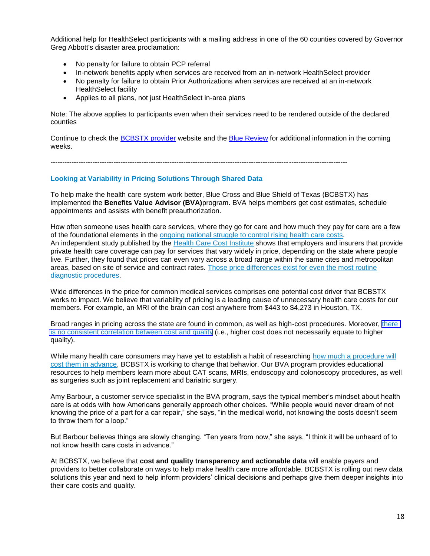Additional help for HealthSelect participants with a mailing address in one of the 60 counties covered by Governor Greg Abbott's disaster area proclamation:

- No penalty for failure to obtain PCP referral
- In-network benefits apply when services are received from an in-network HealthSelect provider
- No penalty for failure to obtain Prior Authorizations when services are received at an in-network HealthSelect facility
- Applies to all plans, not just HealthSelect in-area plans

Note: The above applies to participants even when their services need to be rendered outside of the declared counties

Continue to check the [BCBSTX provider](https://www.bcbstx.com/provider/index.html) website and the [Blue Review](https://www.bcbstx.com/provider/news/bluereview.html) for additional information in the coming weeks.

-------------------------------------------------------------------------------------------------------------------------------

#### **Looking at Variability in Pricing Solutions Through Shared Data**

To help make the health care system work better, Blue Cross and Blue Shield of Texas (BCBSTX) has implemented the **Benefits Value Advisor (BVA)**program. BVA helps members get cost estimates, schedule appointments and assists with benefit preauthorization.

How often someone uses health ca[re services, where they go for care and how much they pay](https://www.newyorker.com/news/news-desk/health-cares-cost-conundrum-squared) for care are a few of the foundational elements in the ongoing national struggle to control rising health care costs. An independent study published by the Health Care Cost [Institute](http://www.healthcostinstitute.org/) shows that employers and insurers that provide private health care coverage can pay for services that vary widely in price, depending on the state where people live. Further, they found that prices can even vary across a broad range within the same cites and metropolitan areas, based on site of service and contract rates. Those price [differences](http://www.healthcostinstitute.org/wp-content/uploads/2016/12/2015-HCCUR-11.22.16.pdf) exist for even the most routine diagnostic [procedures.](http://www.healthcostinstitute.org/wp-content/uploads/2016/12/2015-HCCUR-11.22.16.pdf)

Wide differences in the price for common medical services comprises one potential cost driver that BCBSTX works to impact. We believe that variability of pricing is a leading cause of unnecessary health care costs for our members. For example, an MRI of the brain can cost anywhere from \$443 to \$4,273 in Houston, TX.

Broad ranges in pricing across the state are found in common, as well as high-cost procedures. Moreover, [there](https://www.nytimes.com/2007/06/14/health/14insure.html?mcubz=3) is no consistent [correlation](https://www.nytimes.com/2007/06/14/health/14insure.html?mcubz=3) between cost and quality (i.e., higher cost does not necessarily equate to higher quality).

While many health care consumers may have yet to establish a habit of researching how much a [procedure](https://www.beckershospitalreview.com/finance/70-of-consumers-don-t-price-shop-for-healthcare-services-5-things-to-know.html) will cost them in [advance,](https://www.beckershospitalreview.com/finance/70-of-consumers-don-t-price-shop-for-healthcare-services-5-things-to-know.html) BCBSTX is working to change that behavior. Our BVA program provides educational resources to help members learn more about CAT scans, MRIs, endoscopy and colonoscopy procedures, as well as surgeries such as joint replacement and bariatric surgery.

Amy Barbour, a customer service specialist in the BVA program, says the typical member's mindset about health care is at odds with how Americans generally approach other choices. "While people would never dream of not knowing the price of a part for a car repair," she says, "in the medical world, not knowing the costs doesn't seem to throw them for a loop."

But Barbour believes things are slowly changing. "Ten years from now," she says, "I think it will be unheard of to not know health care costs in advance."

At BCBSTX, we believe that **cost and quality transparency and actionable data** will enable payers and providers to better collaborate on ways to help make health care more affordable. BCBSTX is rolling out new data solutions this year and next to help inform providers' clinical decisions and perhaps give them deeper insights into their care costs and quality.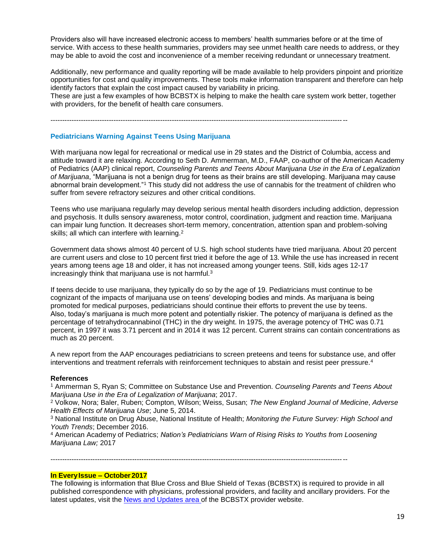Providers also will have increased electronic access to members' health summaries before or at the time of service. With access to these health summaries, providers may see unmet health care needs to address, or they may be able to avoid the cost and inconvenience of a member receiving redundant or unnecessary treatment.

Additionally, new performance and quality reporting will be made available to help providers pinpoint and prioritize opportunities for cost and quality improvements. These tools make information transparent and therefore can help identify factors that explain the cost impact caused by variability in pricing.

These are just a few examples of how BCBSTX is helping to make the health care system work better, together with providers, for the benefit of health care consumers.

-------------------------------------------------------------------------------------------------------------------------------

#### **Pediatricians Warning Against Teens Using Marijuana**

With marijuana now legal for recreational or medical use in 29 states and the District of Columbia, access and attitude toward it are relaxing. According to Seth D. Ammerman, M.D., FAAP, co-author of the American Academy of Pediatrics (AAP) clinical report, *Counseling Parents and Teens About Marijuana Use in the Era of Legalization of Marijuana*, "Marijuana is not a benign drug for teens as their brains are still developing. Marijuana may cause abnormal brain development."<sup>1</sup> This study did not address the use of cannabis for the treatment of children who suffer from severe refractory seizures and other critical conditions.

Teens who use marijuana regularly may develop serious mental health disorders including addiction, depression and psychosis. It dulls sensory awareness, motor control, coordination, judgment and reaction time. Marijuana can impair lung function. It decreases short-term memory, concentration, attention span and problem-solving skills; all which can interfere with learning.<sup>2</sup>

Government data shows almost 40 percent of U.S. high school students have tried marijuana. About 20 percent are current users and close to 10 percent first tried it before the age of 13. While the use has increased in recent years among teens age 18 and older, it has not increased among younger teens. Still, kids ages 12-17 increasingly think that marijuana use is not harmful.<sup>3</sup>

If teens decide to use marijuana, they typically do so by the age of 19. Pediatricians must continue to be cognizant of the impacts of marijuana use on teens' developing bodies and minds. As marijuana is being promoted for medical purposes, pediatricians should continue their efforts to prevent the use by teens. Also, today's marijuana is much more potent and potentially riskier. The potency of marijuana is defined as the percentage of tetrahydrocannabinol (THC) in the dry weight. In 1975, the average potency of THC was 0.71 percent, in 1997 it was 3.71 percent and in 2014 it was 12 percent. Current strains can contain concentrations as much as 20 percent.

A new report from the AAP encourages pediatricians to screen preteens and teens for substance use, and offer interventions and treatment referrals with reinforcement techniques to abstain and resist peer pressure.<sup>4</sup>

#### **References**

<sup>1</sup> Ammerman S, Ryan S; Committee on Substance Use and Prevention. *Counseling Parents and Teens About Marijuana Use in the Era of Legalization of Marijuana*; 2017.

<sup>2</sup> Volkow, Nora; Baler, Ruben; Compton, Wilson; Weiss, Susan; *The New England Journal of Medicine*, *Adverse Health Effects of Marijuana Use*; June 5, 2014.

<sup>3</sup> National Institute on Drug Abuse, National Institute of Health; *Monitoring the Future Survey: High School and Youth Trends*; December 2016.

<sup>4</sup> American Academy of Pediatrics; *Nation's Pediatricians Warn of Rising Risks to Youths from Loosening Marijuana Law;* 2017

-------------------------------------------------------------------------------------------------------------------------------

## **In EveryIssue – October2017**

The following is information that Blue Cross and Blue Shield of Texas (BCBSTX) is required to provide in all published correspondence with physicians, professional providers, and facility and ancillary providers. For the latest updates, visit the [News and Updates area o](http://www.bcbstx.com/provider/news/index.html)f the BCBSTX provider website.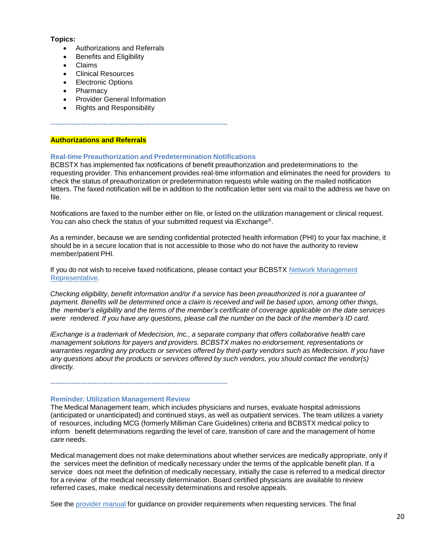#### **Topics:**

- Authorizations and Referrals
- Benefits and Eligibility
- Claims
- Clinical Resources
- Electronic Options
- Pharmacy
- Provider General Information
- Rights and Responsibility

**Authorizations and Referrals**

## **Real-time Preauthorization and Predetermination Notifications**

-----------------------------------------------------------------------------

BCBSTX has implemented fax notifications of benefit preauthorization and predeterminations to the requesting provider. This enhancement provides real-time information and eliminates the need for providers to check the status of preauthorization or predetermination requests while waiting on the mailed notification letters. The faxed notification will be in addition to the notification letter sent via mail to the address we have on file.

Notifications are faxed to the number either on file, or listed on the utilization management or clinical request. You can also check the status of your submitted request via iExchange®.

As a reminder, because we are sending confidential protected health information (PHI) to your fax machine, it should be in a secure location that is not accessible to those who do not have the authority to review member/patient PHI.

If you do not wish to receive faxed notifications, please contact your BCBSTX Network [Management](https://www.bcbstx.com/provider/contact_us.html) [Representative.](https://www.bcbstx.com/provider/contact_us.html)

*Checking eligibility, benefit information and/or if a service has been preauthorized is not a guarantee of* payment. Benefits will be determined once a claim is received and will be based upon, among other things, the member's eligibility and the terms of the member's certificate of coverage applicable on the date services were rendered. If you have any questions, please call the number on the back of the member's ID card.

*iExchange is a trademark of Medecision, Inc., a separate company that offers collaborative health care management solutions for payers and providers. BCBSTX makes no endorsement, representations or warranties regarding any products or services offered by third-party vendors such as Medecision. If you have any questions about the products or services offered by such vendors, you should contact the vendor(s) directly.*

#### **Reminder: Utilization Management Review**

The Medical Management team, which includes physicians and nurses, evaluate hospital admissions (anticipated or unanticipated) and continued stays, as well as outpatient services. The team utilizes a variety of resources, including MCG (formerly Milliman Care Guidelines) criteria and BCBSTX medical policy to inform benefit determinations regarding the level of care, transition of care and the management of home care needs.

Medical management does not make determinations about whether services are medically appropriate, only if the services meet the definition of medically necessary under the terms of the applicable benefit plan. If a service does not meet the definition of medically necessary, initially the case is referred to a medical director for a review of the medical necessity determination. Board certified physicians are available to review referred cases, make medical necessity determinations and resolve appeals.

See the [provider](https://www.bcbstx.com/provider/gri/index.html) manual [fo](https://www.bcbstx.com/provider/gri/index.html)r guidance on provider requirements when requesting services. The final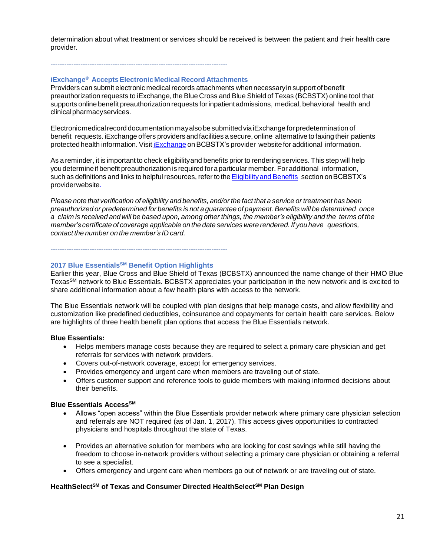determination about what treatment or services should be received is between the patient and their health care provider.

## -----------------------------------------------------------------------------

#### **iExchange® AcceptsElectronicMedical Record Attachments**

Providers can submit electronic medical records attachments when necessary in support of benefit preauthorization requests to iExchange, the Blue Cross and Blue Shield of Texas (BCBSTX) online tool that supports online benefit preauthorization requests forinpatientadmissions, medical, behavioral health and clinicalpharmacyservices.

Electronic medical record documentation may also be submitted via iExchange for predetermination of benefit requests. iExchange offers providers and facilities a secure, online alternative to faxing their patients protected health information. Visit [iExchange](http://www.bcbstx.com/provider/tools/iexchange_index.html) on BCBSTX's provider websitefor additional information.

As a reminder, it is important to check eligibilityand benefits prior to rendering services. This step will help you determineif benefit preauthorization is requiredfor aparticular member. For additional information, such as definitions and links to helpful resources, refer to the Eligibility and Benefits section on BCBSTX's providerwebsite.

Please note that verification of eligibility and benefits, and/or the fact that a service or treatment has been *preauthorized or predetermined for benefits is not a guarantee of payment. Benefits will be determined once* a claim is received and will be based upon, among other things, the member's eligibility and the terms of the *member's certificate of coverage applicable on the date services were rendered. If you have questions, contact the number on the member's ID card.*

-----------------------------------------------------------------------------

#### **2017 Blue EssentialsSM Benefit Option Highlights**

Earlier this year, Blue Cross and Blue Shield of Texas (BCBSTX) announced the name change of their HMO Blue TexasSM network to Blue Essentials. BCBSTX appreciates your participation in the new network and is excited to share additional information about a few health plans with access to the network.

The Blue Essentials network will be coupled with plan designs that help manage costs, and allow flexibility and customization like predefined deductibles, coinsurance and copayments for certain health care services. Below are highlights of three health benefit plan options that access the Blue Essentials network.

#### **Blue Essentials:**

- Helps members manage costs because they are required to select a primary care physician and get referrals for services with network providers.
- Covers out-of-network coverage, except for emergency services.
- Provides emergency and urgent care when members are traveling out of state.
- Offers customer support and reference tools to guide members with making informed decisions about their benefits.

#### **Blue Essentials AccessSM**

- Allows "open access" within the Blue Essentials provider network where primary care physician selection and referrals are NOT required (as of Jan. 1, 2017). This access gives opportunities to contracted physicians and hospitals throughout the state of Texas.
- Provides an alternative solution for members who are looking for cost savings while still having the freedom to choose in-network providers without selecting a primary care physician or obtaining a referral to see a specialist.
- Offers emergency and urgent care when members go out of network or are traveling out of state.

## **HealthSelectSM of Texas and Consumer Directed HealthSelectSM Plan Design**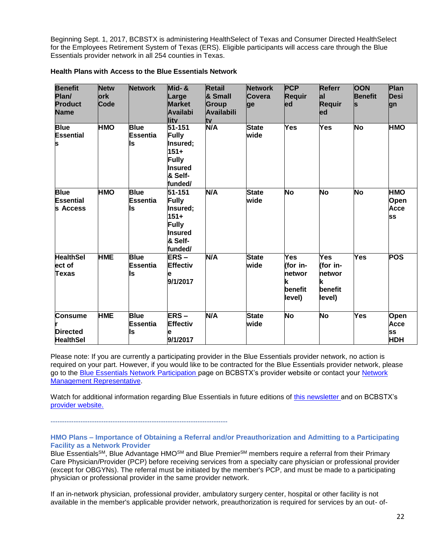Beginning Sept. 1, 2017, BCBSTX is administering HealthSelect of Texas and Consumer Directed HealthSelect for the Employees Retirement System of Texas (ERS). Eligible participants will access care through the Blue Essentials provider network in all 254 counties in Texas.

| <b>Benefit</b><br>Plan/<br><b>Product</b><br><b>Name</b> | <b>Netw</b><br>ork<br>Code | <b>Network</b>                       | Mid-&<br>Large<br><b>Market</b><br><b>Availabi</b><br>litv                                         | <b>Retail</b><br>& Small<br>Group<br><b>Availabili</b><br>tv | <b>Network</b><br>Covera<br>ge | <b>PCP</b><br>Requir<br>ed                                 | <b>Referr</b><br>lal<br><b>Requir</b><br>led        | <b>OON</b><br><b>Benefit</b><br>S | Plan<br><b>Desi</b><br>lgn                            |
|----------------------------------------------------------|----------------------------|--------------------------------------|----------------------------------------------------------------------------------------------------|--------------------------------------------------------------|--------------------------------|------------------------------------------------------------|-----------------------------------------------------|-----------------------------------|-------------------------------------------------------|
| <b>Blue</b><br><b>Essential</b><br>S                     | HMO                        | <b>Blue</b><br><b>Essentia</b><br>ls | 51-151<br><b>Fully</b><br>Insured;<br>151+<br><b>Fully</b><br><b>Insured</b><br>& Self-<br>funded/ | N/A                                                          | <b>State</b><br>wide           | Yes                                                        | Yes                                                 | <b>No</b>                         | HMO                                                   |
| <b>Blue</b><br>Essential<br>ls Access                    | <b>HMO</b>                 | <b>Blue</b><br><b>Essentia</b><br>ls | 51-151<br><b>Fully</b><br>Insured;<br>$151 +$<br>Fully<br>Insured<br>& Self-<br>funded/            | <b>N/A</b>                                                   | <b>State</b><br>wide           | No                                                         | <b>No</b>                                           | <b>No</b>                         | <b>HMO</b><br><b>Open</b><br>Acce<br><b>SS</b>        |
| <b>HealthSel</b><br>ect of<br><b>Texas</b>               | <b>HME</b>                 | <b>Blue</b><br><b>Essentia</b><br>ls | <b>ERS-</b><br><b>Effectiv</b><br>е<br>9/1/2017                                                    | N/A                                                          | <b>State</b><br>wide           | Yes<br>(for in-<br><b>networ</b><br>k<br>benefit<br>level) | Yes<br>(for in-<br>networ<br>k<br>benefit<br>level) | Yes                               | POS                                                   |
| <b>Consume</b><br><b>Directed</b><br><b>HealthSel</b>    | <b>HME</b>                 | <b>Blue</b><br><b>Essentia</b><br>ls | ERS-<br><b>Effectiv</b><br>е<br>9/1/2017                                                           | N/A                                                          | <b>State</b><br>wide           | <b>No</b>                                                  | <b>No</b>                                           | Yes                               | <b>Open</b><br><b>Acce</b><br><b>SS</b><br><b>HDH</b> |

#### **Health Plans with Access to the Blue Essentials Network**

Please note: If you are currently a participating provider in the Blue Essentials provider network, no action is required on your part. However, if you would like to be contracted for the Blue Essentials provider network, please go to the [Blue Essentials Network Participation p](https://www.bcbstx.com/provider/network/blue_essentials_participation.html)age on BCBSTX's provider website or contact your [Network](https://www.bcbstx.com/provider/contact_us.html)  [Management Representative.](https://www.bcbstx.com/provider/contact_us.html)

Watch for additional information regarding Blue Essentials in future editions of [this newsletter a](https://www.bcbstx.com/provider/news/bluereview.html)ndon BCBSTX's [provider website.](https://www.bcbstx.com/provider/index.html)

-----------------------------------------------------------------------------

#### **HMO Plans – Importance of Obtaining a Referral and/or Preauthorization and Admitting to a Participating Facility as a Network Provider**

Blue Essentials<sup>SM</sup>, Blue Advantage HMO<sup>SM</sup> and Blue Premier<sup>SM</sup> members require a referral from their Primary Care Physician/Provider (PCP) before receiving services from a specialty care physician or professional provider (except for OBGYNs). The referral must be initiated by the member's PCP, and must be made to a participating physician or professional provider in the same provider network.

If an in-network physician, professional provider, ambulatory surgery center, hospital or other facility is not available in the member's applicable provider network, preauthorization is required for services by an out- of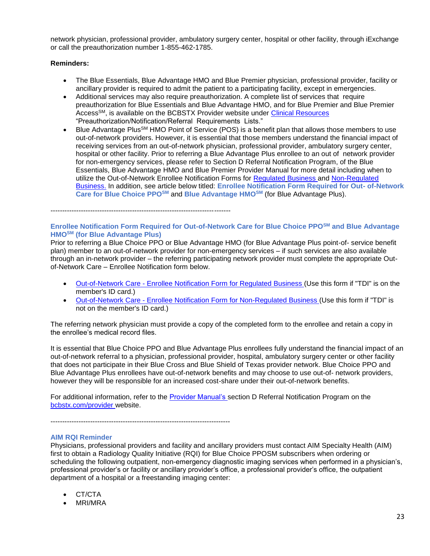network physician, professional provider, ambulatory surgery center, hospital or other facility, through iExchange or call the preauthorization number 1-855-462-1785.

### **Reminders:**

- The Blue Essentials, Blue Advantage HMO and Blue Premier physician, professional provider, facility or ancillary provider is required to admit the patient to a participating facility, except in emergencies.
- Additional services may also require preauthorization. A complete list of services that require preauthorization for Blue Essentials and Blue Advantage HMO, and for Blue Premier and Blue Premier AccessSM, is available on the BCBSTX Provider website under [Clinical Resources](https://www.bcbstx.com/provider/clinical/index.html) "Preauthorization/Notification/Referral Requirements Lists."
- Blue Advantage Plus<sup>SM</sup> HMO Point of Service (POS) is a benefit plan that allows those members to use out-of-network providers. However, it is essential that those members understand the financial impact of receiving services from an out-of-network physician, professional provider, ambulatory surgery center, hospital or other facility. Prior to referring a Blue Advantage Plus enrollee to an out of network provider for non-emergency services, please refer to Section D Referral Notification Program, of the Blue Essentials, Blue Advantage HMO and Blue Premier Provider Manual for more detail including when to utilize the Out-of-Network Enrollee Notification Forms for [Regulated](http://www.bcbstx.com/provider/pdf/out-of-network-care-enrollee-notification-form.pdf) [Business a](http://www.bcbstx.com/provider/pdf/out-of-network-care-enrollee-notification-form.pdf)nd [Non-Regulated](http://www.bcbstx.com/provider/pdf/out-of-network-care-enrollee-notification-form-nr.pdf)  [Business.](http://www.bcbstx.com/provider/pdf/out-of-network-care-enrollee-notification-form-nr.pdf) In addition, see article below titled: **Enrollee Notification Form Required for Out- of-Network Care for Blue Choice PPOSM** and **Blue Advantage HMOSM** (for Blue Advantage Plus).

-----------------------------------------------------------------------------

### **Enrollee Notification Form Required for Out-of-Network Care for Blue Choice PPOSM and Blue Advantage HMOSM (for Blue Advantage Plus)**

Prior to referring a Blue Choice PPO or Blue Advantage HMO (for Blue Advantage Plus point-of- service benefit plan) member to an out-of-network provider for non-emergency services – if such services are also available through an in-network provider – the referring participating network provider must complete the appropriate Outof-Network Care – Enrollee Notification form below.

- Out-of-Network Care [Enrollee Notification Form for Regulated Business \(](http://www.bcbstx.com/provider/pdf/out-of-network-care-enrollee-notification-form.pdf)Use this form if "TDI" is on the member's ID card.)
- Out-of-Network Care [Enrollee Notification Form for Non-Regulated Business \(](http://www.bcbstx.com/provider/pdf/out-of-network-care-enrollee-notification-form-nr.pdf)Use this form if "TDI" is not on the member's ID card.)

The referring network physician must provide a copy of the completed form to the enrollee and retain a copy in the enrollee's medical record files.

It is essential that Blue Choice PPO and Blue Advantage Plus enrollees fully understand the financial impact of an out-of-network referral to a physician, professional provider, hospital, ambulatory surgery center or other facility that does not participate in their Blue Cross and Blue Shield of Texas provider network. Blue Choice PPO and Blue Advantage Plus enrollees have out-of-network benefits and may choose to use out-of- network providers, however they will be responsible for an increased cost-share under their out-of-network benefits.

For additional information, refer to the [Provider Manual's s](http://www.bcbstx.com/provider/gri/index.html)ection D Referral Notification Program on th[e](http://www.bcbstx.com/provider/index.html) [bcbstx.com/provider w](http://www.bcbstx.com/provider/index.html)ebsite.

-----------------------------------------------------------------------------

#### **AIM RQI Reminder**

Physicians, professional providers and facility and ancillary providers must contact AIM Specialty Health (AIM) first to obtain a Radiology Quality Initiative (RQI) for Blue Choice PPOSM subscribers when ordering or scheduling the following outpatient, non-emergency diagnostic imaging services when performed in a physician's, professional provider's or facility or ancillary provider's office, a professional provider's office, the outpatient department of a hospital or a freestanding imaging center:

- CT/CTA
- MRI/MRA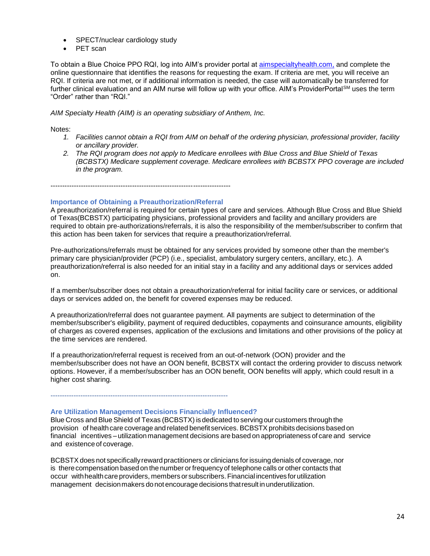- SPECT/nuclear cardiology study
- PET scan

To obtain a Blue Choice PPO RQI, log into AIM's provider portal at [aimspecialtyhealth.com,](http://www.aimspecialtyhealth.com/) and complete the online questionnaire that identifies the reasons for requesting the exam. If criteria are met, you will receive an RQI. If criteria are not met, or if additional information is needed, the case will automatically be transferred for further clinical evaluation and an AIM nurse will follow up with your office. AIM's ProviderPortal<sup>SM</sup> uses the term "Order" rather than "RQI."

### *AIM Specialty Health (AIM) is an operating subsidiary of Anthem, Inc.*

### Notes:

- *1. Facilities cannot obtain a RQI from AIM on behalf of the ordering physician, professional provider, facility or ancillary provider.*
- *2. The RQI program does not apply to Medicare enrollees with Blue Cross and Blue Shield of Texas (BCBSTX) Medicare supplement coverage. Medicare enrollees with BCBSTX PPO coverage are included in the program.*

-----------------------------------------------------------------------------

### **Importance of Obtaining a Preauthorization/Referral**

A preauthorization/referral is required for certain types of care and services. Although Blue Cross and Blue Shield of Texas(BCBSTX) participating physicians, professional providers and facility and ancillary providers are required to obtain pre-authorizations/referrals, it is also the responsibility of the member/subscriber to confirm that this action has been taken for services that require a preauthorization/referral.

Pre-authorizations/referrals must be obtained for any services provided by someone other than the member's primary care physician/provider (PCP) (i.e., specialist, ambulatory surgery centers, ancillary, etc.). A preauthorization/referral is also needed for an initial stay in a facility and any additional days or services added on.

If a member/subscriber does not obtain a preauthorization/referral for initial facility care or services, or additional days or services added on, the benefit for covered expenses may be reduced.

A preauthorization/referral does not guarantee payment. All payments are subject to determination of the member/subscriber's eligibility, payment of required deductibles, copayments and coinsurance amounts, eligibility of charges as covered expenses, application of the exclusions and limitations and other provisions of the policy at the time services are rendered.

If a preauthorization/referral request is received from an out-of-network (OON) provider and the member/subscriber does not have an OON benefit, BCBSTX will contact the ordering provider to discuss network options. However, if a member/subscriber has an OON benefit, OON benefits will apply, which could result in a higher cost sharing.

-----------------------------------------------------------------------------

#### **Are Utilization Management Decisions Financially Influenced?**

Blue Cross and Blue Shield of Texas (BCBSTX) isdedicated to serving our customers through the provision of health care coverage and related benefit services. BCBSTX prohibits decisions based on financial incentives – utilization management decisions are based on appropriateness of care and service and existence of coverage.

BCBSTXdoes not specificallyreward practitioners or clinicians forissuing denials of coverage, nor is there compensation based on the number or frequency of telephone calls or other contacts that occur with health care providers, members or subscribers. Financial incentives for utilization management decisionmakers donot encourage decisions thatresult inunderutilization.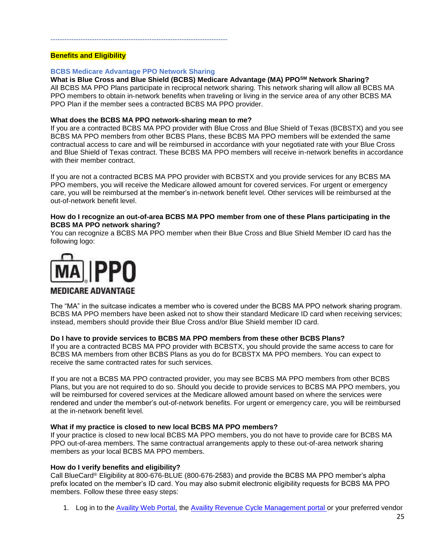## **Benefits and Eligibility**

#### **BCBS Medicare Advantage PPO Network Sharing**

-----------------------------------------------------------------------------

## **What is Blue Cross and Blue Shield (BCBS) Medicare Advantage (MA) PPOSM Network Sharing?**

All BCBS MA PPO Plans participate in reciprocal network sharing. This network sharing will allow all BCBS MA PPO members to obtain in-network benefits when traveling or living in the service area of any other BCBS MA PPO Plan if the member sees a contracted BCBS MA PPO provider.

#### **What does the BCBS MA PPO network-sharing mean to me?**

If you are a contracted BCBS MA PPO provider with Blue Cross and Blue Shield of Texas (BCBSTX) and you see BCBS MA PPO members from other BCBS Plans, these BCBS MA PPO members will be extended the same contractual access to care and will be reimbursed in accordance with your negotiated rate with your Blue Cross and Blue Shield of Texas contract. These BCBS MA PPO members will receive in-network benefits in accordance with their member contract.

If you are not a contracted BCBS MA PPO provider with BCBSTX and you provide services for any BCBS MA PPO members, you will receive the Medicare allowed amount for covered services. For urgent or emergency care, you will be reimbursed at the member's in-network benefit level. Other services will be reimbursed at the out-of-network benefit level.

#### **How do I recognize an out-of-area BCBS MA PPO member from one of these Plans participating in the BCBS MA PPO network sharing?**

You can recognize a BCBS MA PPO member when their Blue Cross and Blue Shield Member ID card has the following logo:



## **MEDICARE ADVANTAGE**

The "MA" in the suitcase indicates a member who is covered under the BCBS MA PPO network sharing program. BCBS MA PPO members have been asked not to show their standard Medicare ID card when receiving services; instead, members should provide their Blue Cross and/or Blue Shield member ID card.

#### **Do I have to provide services to BCBS MA PPO members from these other BCBS Plans?**

If you are a contracted BCBS MA PPO provider with BCBSTX, you should provide the same access to care for BCBS MA members from other BCBS Plans as you do for BCBSTX MA PPO members. You can expect to receive the same contracted rates for such services.

If you are not a BCBS MA PPO contracted provider, you may see BCBS MA PPO members from other BCBS Plans, but you are not required to do so. Should you decide to provide services to BCBS MA PPO members, you will be reimbursed for covered services at the Medicare allowed amount based on where the services were rendered and under the member's out-of-network benefits. For urgent or emergency care, you will be reimbursed at the in-network benefit level.

#### **What if my practice is closed to new local BCBS MA PPO members?**

If your practice is closed to new local BCBS MA PPO members, you do not have to provide care for BCBS MA PPO out-of-area members. The same contractual arrangements apply to these out-of-area network sharing members as your local BCBS MA PPO members.

#### **How do I verify benefits and eligibility?**

Call BlueCard® Eligibility at 800-676-BLUE (800-676-2583) and provide the BCBS MA PPO member's alpha prefix located on the member's ID card. You may also submit electronic eligibility requests for BCBS MA PPO members. Follow these three easy steps:

1. Log in to the [Availity Web Portal,](https://claims.realmed.com/) the [Availity Revenue Cycle Management portal](https://www.availity.com/) or your preferred vendor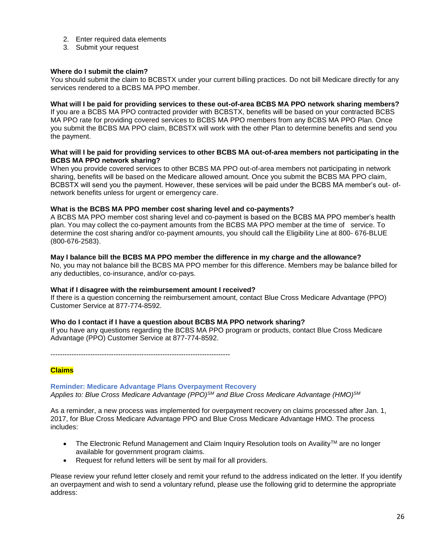- 2. Enter required data elements
- 3. Submit your request

### **Where do I submit the claim?**

You should submit the claim to BCBSTX under your current billing practices. Do not bill Medicare directly for any services rendered to a BCBS MA PPO member.

#### **What will I be paid for providing services to these out-of-area BCBS MA PPO network sharing members?**

If you are a BCBS MA PPO contracted provider with BCBSTX, benefits will be based on your contracted BCBS MA PPO rate for providing covered services to BCBS MA PPO members from any BCBS MA PPO Plan. Once you submit the BCBS MA PPO claim, BCBSTX will work with the other Plan to determine benefits and send you the payment.

#### **What will I be paid for providing services to other BCBS MA out-of-area members not participating in the BCBS MA PPO network sharing?**

When you provide covered services to other BCBS MA PPO out-of-area members not participating in network sharing, benefits will be based on the Medicare allowed amount. Once you submit the BCBS MA PPO claim, BCBSTX will send you the payment. However, these services will be paid under the BCBS MA member's out- ofnetwork benefits unless for urgent or emergency care.

### **What is the BCBS MA PPO member cost sharing level and co-payments?**

A BCBS MA PPO member cost sharing level and co-payment is based on the BCBS MA PPO member's health plan. You may collect the co-payment amounts from the BCBS MA PPO member at the time of service. To determine the cost sharing and/or co-payment amounts, you should call the Eligibility Line at 800- 676-BLUE (800-676-2583).

### **May I balance bill the BCBS MA PPO member the difference in my charge and the allowance?**

No, you may not balance bill the BCBS MA PPO member for this difference. Members may be balance billed for any deductibles, co-insurance, and/or co-pays.

#### **What if I disagree with the reimbursement amount I received?**

If there is a question concerning the reimbursement amount, contact Blue Cross Medicare Advantage (PPO) Customer Service at 877-774-8592.

#### **Who do I contact if I have a question about BCBS MA PPO network sharing?**

If you have any questions regarding the BCBS MA PPO program or products, contact Blue Cross Medicare Advantage (PPO) Customer Service at 877-774-8592.

-----------------------------------------------------------------------------

#### **Claims**

#### **Reminder: Medicare Advantage Plans Overpayment Recovery**  *Applies to: Blue Cross Medicare Advantage (PPO)SM and Blue Cross Medicare Advantage (HMO)SM*

As a reminder, a new process was implemented for overpayment recovery on claims processed after Jan. 1, 2017, for Blue Cross Medicare Advantage PPO and Blue Cross Medicare Advantage HMO. The process includes:

- The Electronic Refund Management and Claim Inquiry Resolution tools on Availity™ are no longer available for government program claims.
- Request for refund letters will be sent by mail for all providers.

Please review your refund letter closely and remit your refund to the address indicated on the letter. If you identify an overpayment and wish to send a voluntary refund, please use the following grid to determine the appropriate address: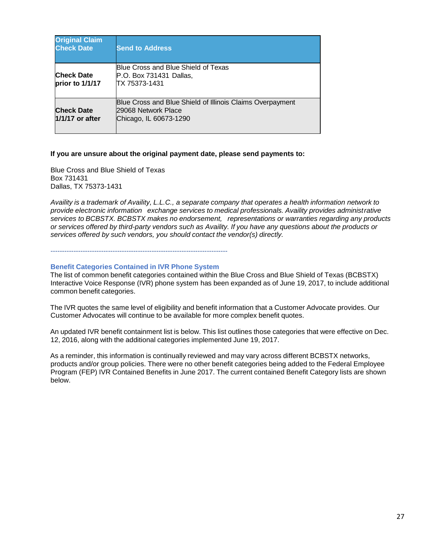| <b>Original Claim</b><br><b>Check Date</b> | <b>Send to Address</b>                                                                                     |
|--------------------------------------------|------------------------------------------------------------------------------------------------------------|
| <b>Check Date</b><br>prior to 1/1/17       | Blue Cross and Blue Shield of Texas<br>P.O. Box 731431 Dallas,<br>TX 75373-1431                            |
| <b>Check Date</b><br>1/1/17 or after       | Blue Cross and Blue Shield of Illinois Claims Overpayment<br>29068 Network Place<br>Chicago, IL 60673-1290 |

#### **If you are unsure about the original payment date, please send payments to:**

Blue Cross and Blue Shield of Texas Box 731431 Dallas, TX 75373-1431

*Availity is a trademark of Availity, L.L.C., a separate company that operates a health information network to provide electronic information exchange services to medical professionals. Availity provides administrative services to BCBSTX. BCBSTX makes no endorsement, representations or warranties regarding any products or services offered by third-party vendors such as Availity. If you have any questions about the products or services offered by such vendors, you should contact the vendor(s) directly.*

-----------------------------------------------------------------------------

#### **Benefit Categories Contained in IVR Phone System**

The list of common benefit categories contained within the Blue Cross and Blue Shield of Texas (BCBSTX) Interactive Voice Response (IVR) phone system has been expanded as of June 19, 2017, to include additional common benefit categories.

The IVR quotes the same level of eligibility and benefit information that a Customer Advocate provides. Our Customer Advocates will continue to be available for more complex benefit quotes.

An updated IVR benefit containment list is below. This list outlines those categories that were effective on Dec. 12, 2016, along with the additional categories implemented June 19, 2017.

As a reminder, this information is continually reviewed and may vary across different BCBSTX networks, products and/or group policies. There were no other benefit categories being added to the Federal Employee Program (FEP) IVR Contained Benefits in June 2017. The current contained Benefit Category lists are shown below.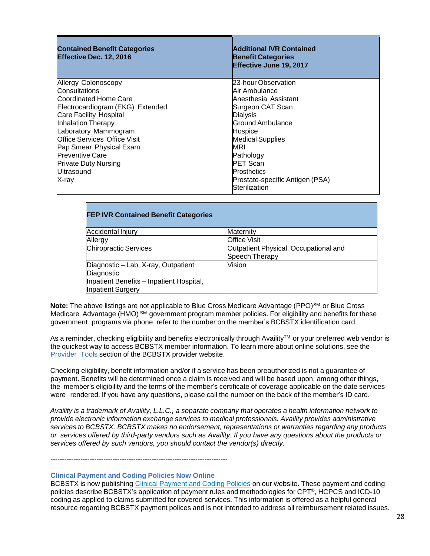| <b>Contained Benefit Categories</b><br>Effective Dec. 12, 2016 | <b>Additional IVR Contained</b><br><b>Benefit Categories</b><br>Effective June 19, 2017 |
|----------------------------------------------------------------|-----------------------------------------------------------------------------------------|
| Allergy Colonoscopy                                            | 23-hour Observation                                                                     |
| Consultations                                                  | Air Ambulance                                                                           |
| Coordinated Home Care                                          | Anesthesia Assistant                                                                    |
| Electrocardiogram (EKG) Extended                               | Surgeon CAT Scan                                                                        |
| Care Facility Hospital                                         | Dialysis                                                                                |
| Inhalation Therapy                                             | Ground Ambulance                                                                        |
| Laboratory Mammogram                                           | Hospice                                                                                 |
| <b>Office Services Office Visit</b>                            | <b>Medical Supplies</b>                                                                 |
| Pap Smear Physical Exam                                        | MRI                                                                                     |
| <b>Preventive Care</b>                                         | Pathology                                                                               |
| <b>Private Duty Nursing</b>                                    | <b>PET Scan</b>                                                                         |
| Ultrasound                                                     | <b>Prosthetics</b>                                                                      |
| X-rav                                                          | Prostate-specific Antigen (PSA)                                                         |
|                                                                | Sterilization                                                                           |

| <b>FEP IVR Contained Benefit Categories</b>                          |                                                         |
|----------------------------------------------------------------------|---------------------------------------------------------|
| Accidental Injury                                                    | Maternity                                               |
| Allergy                                                              | <b>Office Visit</b>                                     |
| <b>Chiropractic Services</b>                                         | Outpatient Physical, Occupational and<br>Speech Therapy |
| Diagnostic - Lab, X-ray, Outpatient<br>Diagnostic                    | Vision                                                  |
| Inpatient Benefits - Inpatient Hospital,<br><b>Inpatient Surgery</b> |                                                         |

**Note:** The above listings are not applicable to Blue Cross Medicare Advantage (PPO)<sup>SM</sup> or Blue Cross Medicare Advantage (HMO)<sup>SM</sup> government program member policies. For eligibility and benefits for these government programs via phone, refer to the number on the member's BCBSTX identification card.

As a reminder, checking eligibility and benefits electronically through Availity™ or your preferred web vendor is the quickest way to access BCBSTX member information. To learn more about online solutions, see the [Provider](https://www.bcbstx.com/provider/tools/index.html) [Tools](https://www.bcbstx.com/provider/tools/index.html) section of the BCBSTX provider website.

Checking eligibility, benefit information and/or if a service has been preauthorized is not a guarantee of payment. Benefits will be determined once a claim is received and will be based upon, among other things, the member's eligibility and the terms of the member's certificate of coverage applicable on the date services were rendered. If you have any questions, please call the number on the back of the member's ID card.

Availity is a trademark of Availity, L.L.C., a separate company that operates a health information network to *provide electronic information exchange services to medical professionals. Availity provides administrative services to BCBSTX. BCBSTX makes no endorsement, representations or warranties regarding any products or services offered by third-party vendors such as Availity. If you have any questions about the products or services offered by such vendors, you should contact the vendor(s) directly.*

-----------------------------------------------------------------------------

#### **Clinical Payment and Coding Policies Now Online**

BCBSTX is now publishing Clinical [Payment](http://links.mkt2527.com/ctt?kn=11&ms=MTA5NTM5MzgS1&r=MTkyODM0MTAxODQwS0&b=3&j=MTE2MDM3MTk5MgS2&mt=1&rt=0) and Coding Policies on our website. These payment and coding policies describe BCBSTX's application of payment rules and methodologies for CPT®, HCPCS and ICD-10 coding as applied to claims submitted for covered services. This information is offered as a helpful general resource regarding BCBSTX payment polices and is not intended to address all reimbursement related issues.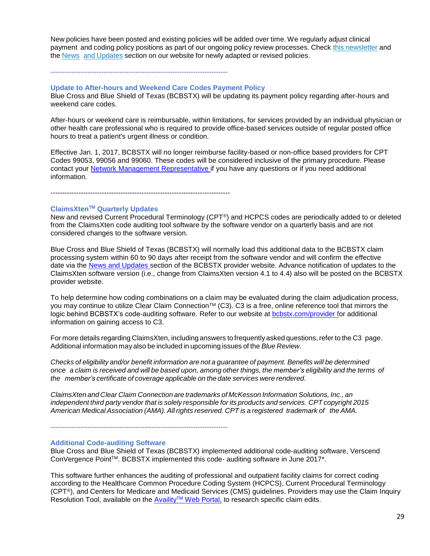New policies have been posted and existing policies will be added over time. We regularly adjust clinical payment and coding policy positions as part of our ongoing policy review processes. Check this [newsletter](https://www.bcbstx.com/provider/news/bluereview.html) and the News and [Updates](https://www.bcbstx.com/provider/news/index.html) section on our website for newly adapted or revised policies.

-----------------------------------------------------------------------------

#### **Update to After-hours and Weekend Care Codes Payment Policy**

Blue Cross and Blue Shield of Texas (BCBSTX) will be updating its payment policy regarding after-hours and weekend care codes.

After-hours or weekend care is reimbursable, within limitations, for services provided by an individual physician or other health care professional who is required to provide office-based services outside of regular posted office hours to treat a patient's urgent illness or condition.

Effective Jan. 1, 2017, BCBSTX will no longer reimburse facility-based or non-office based providers for CPT Codes 99053, 99056 and 99060. These codes will be considered inclusive of the primary procedure. Please contact your Network Management Representative if you have any questions or if you need additional information.

-----------------------------------------------------------------------------

## **ClaimsXtenTM Quarterly Updates**

New and revised Current Procedural Terminology (CPT®) and HCPCS codes are periodically added to or deleted from the ClaimsXten code auditing tool software by the software vendor on a quarterly basis and are not considered changes to the software version.

Blue Cross and Blue Shield of Texas (BCBSTX) will normally load this additional data to the BCBSTX claim processing system within 60 to 90 days after receipt from the software vendor and will confirm the effective date via the [News and Updates s](http://www.bcbstx.com/provider/news/index.html)ection of the BCBSTX provider website. Advance notification of updates to the ClaimsXten software version (i.e., change from ClaimsXten version 4.1 to 4.4) also will be posted on the BCBSTX provider website.

To help determine how coding combinations on a claim may be evaluated during the claim adjudication process, you may continue to utilize Clear Claim Connection™ (C3). C3 is a free, online reference tool that mirrors the logic behind BCBSTX's code-auditing software. Refer to our website at [bcbstx.com/provider fo](http://www.bcbstx.com/provider/)r additional information on gaining access to C3.

For more details regarding ClaimsXten, including answers to frequently asked questions, refer to the C3 page. Additional information may also be included in upcoming issues of the *Blue Review*.

*Checks of eligibility and/or benefit information are not a guarantee of payment. Benefits will be determined* once a claim is received and will be based upon, among other things, the member's eligibility and the terms of *the member's certificate of coverage applicable on the date services were rendered.*

*ClaimsXten and Clear Claim Connection are trademarks of McKesson Information Solutions, Inc., an independent third party vendor that is solely responsible for its products and services. CPT copyright 2015 American Medical Association (AMA). Allrights reserved. CPT is a registered trademark of the AMA.*

-----------------------------------------------------------------------------

#### **Additional Code-auditing Software**

Blue Cross and Blue Shield of Texas (BCBSTX) implemented additional code-auditing software, Verscend ConVergence Point™. BCBSTX implemented this code- auditing software in June 2017\*.

This software further enhances the auditing of professional and outpatient facility claims for correct coding according to the Healthcare Common Procedure Coding System (HCPCS), Current Procedural Terminology (CPT®), and Centers for Medicare and Medicaid Services (CMS) guidelines. Providers may use the Claim Inquiry Resolution Tool, available on the Availity™ [Web Portal,](https://apps.availity.com/availity/web/public.elegant.login) to research specific claim edits.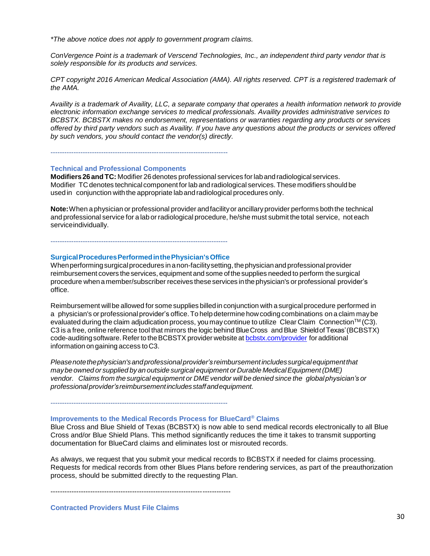*\*The above notice does not apply to government program claims.*

*ConVergence Point is a trademark of Verscend Technologies, Inc., an independent third party vendor that is solely responsible for its products and services.* 

*CPT copyright 2016 American Medical Association (AMA). All rights reserved. CPT is a registered trademark of the AMA.*

*Availity is a trademark of Availity, LLC, a separate company that operates a health information network to provide electronic information exchange services to medical professionals. Availity provides administrative services to BCBSTX. BCBSTX makes no endorsement, representations or warranties regarding any products or services offered by third party vendors such as Availity. If you have any questions about the products or services offered by such vendors, you should contact the vendor(s) directly.*

## **Technical and Professional Components**

**Modifiers26andTC:** Modifier 26denotes professional services forlabandradiological services. Modifier TC denotes technical component forlab and radiological services.These modifiers should be used in conjunction with the appropriate lab and radiological procedures only.

**Note:**When a physician or professional provider andfacilityor ancillaryprovider performs boththe technical and professional service for a lab or radiological procedure, he/she must submit the total service, not each serviceindividually.

-----------------------------------------------------------------------------

-----------------------------------------------------------------------------

#### **SurgicalProceduresPerformedinthePhysician'sOffice**

When performing surgical procedures in a non-facility setting, the physician and professional provider reimbursement covers theservices, equipment and some ofthesupplies needed to perform thesurgical procedure whenamember/subscriber receives theseservices inthephysician's or professional provider's office.

Reimbursement willbe allowed for some supplies billedin conjunction with a surgical procedure performed in a physician's or professional provider's office. To help determine how coding combinations on a claim may be evaluated during the claim adjudication process, you may continue to utilize Clear Claim Connection™ (C3). C3 is a free, online reference tool that mirrors the logic behind BlueCross andBlue Shieldof Texas'(BCBSTX) code-auditing software. Refer to the BCBSTX provider website at [bcbstx.com/provider](https://www.bcbstx.com/provider/) for additional information on gaining access toC3.

*Pleasenotethephysician'sandprofessionalprovider's reimbursementincludessurgicalequipmentthat maybe owned or supplied by an outside surgical equipment orDurable MedicalEquipment(DME) vendor. Claims from thesurgical equipment or DMEvendor will be denied since the globalphysician's or professionalprovider'sreimbursementincludesstaffandequipment.*

-----------------------------------------------------------------------------

#### **Improvements to the Medical Records Process for BlueCard® Claims**

Blue Cross and Blue Shield of Texas (BCBSTX) is now able to send medical records electronically to all Blue Cross and/or Blue Shield Plans. This method significantly reduces the time it takes to transmit supporting documentation for BlueCard claims and eliminates lost or misrouted records.

As always, we request that you submit your medical records to BCBSTX if needed for claims processing. Requests for medical records from other Blues Plans before rendering services, as part of the preauthorization process, should be submitted directly to the requesting Plan.

-----------------------------------------------------------------------------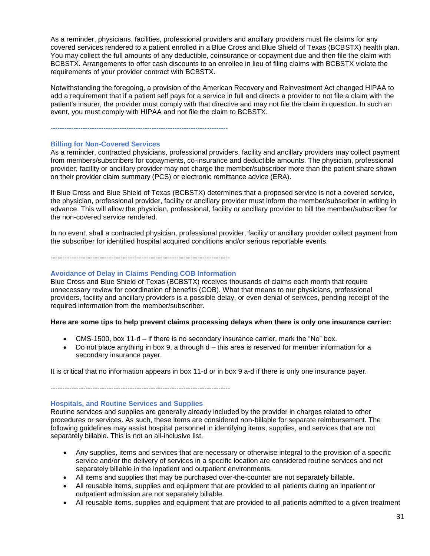As a reminder, physicians, facilities, professional providers and ancillary providers must file claims for any covered services rendered to a patient enrolled in a Blue Cross and Blue Shield of Texas (BCBSTX) health plan. You may collect the full amounts of any deductible, coinsurance or copayment due and then file the claim with BCBSTX. Arrangements to offer cash discounts to an enrollee in lieu of filing claims with BCBSTX violate the requirements of your provider contract with BCBSTX.

Notwithstanding the foregoing, a provision of the American Recovery and Reinvestment Act changed HIPAA to add a requirement that if a patient self pays for a service in full and directs a provider to not file a claim with the patient's insurer, the provider must comply with that directive and may not file the claim in question. In such an event, you must comply with HIPAA and not file the claim to BCBSTX.

#### -----------------------------------------------------------------------------

#### **Billing for Non-Covered Services**

As a reminder, contracted physicians, professional providers, facility and ancillary providers may collect payment from members/subscribers for copayments, co-insurance and deductible amounts. The physician, professional provider, facility or ancillary provider may not charge the member/subscriber more than the patient share shown on their provider claim summary (PCS) or electronic remittance advice (ERA).

If Blue Cross and Blue Shield of Texas (BCBSTX) determines that a proposed service is not a covered service, the physician, professional provider, facility or ancillary provider must inform the member/subscriber in writing in advance. This will allow the physician, professional, facility or ancillary provider to bill the member/subscriber for the non-covered service rendered.

In no event, shall a contracted physician, professional provider, facility or ancillary provider collect payment from the subscriber for identified hospital acquired conditions and/or serious reportable events.

-----------------------------------------------------------------------------

#### **Avoidance of Delay in Claims Pending COB Information**

Blue Cross and Blue Shield of Texas (BCBSTX) receives thousands of claims each month that require unnecessary review for coordination of benefits (COB). What that means to our physicians, professional providers, facility and ancillary providers is a possible delay, or even denial of services, pending receipt of the required information from the member/subscriber.

#### **Here are some tips to help prevent claims processing delays when there is only one insurance carrier:**

- CMS-1500, box 11-d if there is no secondary insurance carrier, mark the "No" box.
- Do not place anything in box 9, a through d this area is reserved for member information for a secondary insurance payer.

It is critical that no information appears in box 11-d or in box 9 a-d if there is only one insurance payer.

-----------------------------------------------------------------------------

#### **Hospitals, and Routine Services and Supplies**

Routine services and supplies are generally already included by the provider in charges related to other procedures or services. As such, these items are considered non-billable for separate reimbursement. The following guidelines may assist hospital personnel in identifying items, supplies, and services that are not separately billable. This is not an all-inclusive list.

- Any supplies, items and services that are necessary or otherwise integral to the provision of a specific service and/or the delivery of services in a specific location are considered routine services and not separately billable in the inpatient and outpatient environments.
- All items and supplies that may be purchased over-the-counter are not separately billable.
- All reusable items, supplies and equipment that are provided to all patients during an inpatient or outpatient admission are not separately billable.
- All reusable items, supplies and equipment that are provided to all patients admitted to a given treatment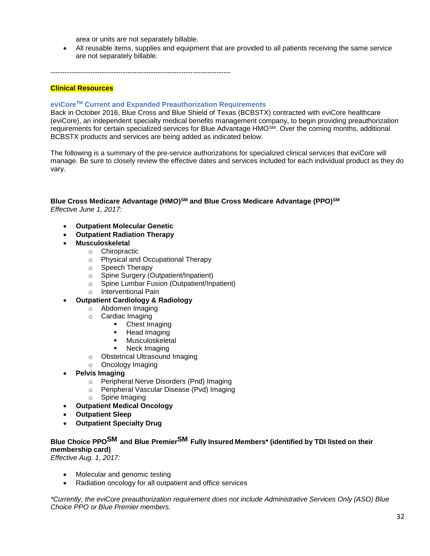area or units are not separately billable.

• All reusable items, supplies and equipment that are provided to all patients receiving the same service are not separately billable.

-----------------------------------------------------------------------------

## **Clinical Resources**

## **eviCoreTM Current and Expanded Preauthorization Requirements**

Back in October 2016, Blue Cross and Blue Shield of Texas (BCBSTX) contracted with eviCore healthcare (eviCore), an independent specialty medical benefits management company, to begin providing preauthorization requirements for certain specialized services for Blue Advantage HMO<sup>SM</sup>. Over the coming months, additional BCBSTX products and services are being added as indicated below.

The following is a summary of the pre-service authorizations for specialized clinical services that eviCore will manage. Be sure to closely review the effective dates and services included for each individual product as they do vary.

## **Blue Cross Medicare Advantage (HMO)SM and Blue Cross Medicare Advantage (PPO)SM** *Effective June 1, 2017:*

- **Outpatient Molecular Genetic**
- **Outpatient Radiation Therapy**
- **Musculoskeletal**
	- o Chiropractic
		- o Physical and Occupational Therapy
		- o Speech Therapy
		- o Spine Surgery (Outpatient/Inpatient)
		- o Spine Lumbar Fusion (Outpatient/Inpatient)
		- o Interventional Pain

#### • **Outpatient Cardiology & Radiology**

- o Abdomen Imaging
- o Cardiac Imaging
	- Chest Imaging
	- Head Imaging
	- Musculoskeletal
	- Neck Imaging
- o Obstetrical Ultrasound Imaging
- o Oncology Imaging
- **Pelvis Imaging**
	- o Peripheral Nerve Disorders (Pnd) Imaging
	- o Peripheral Vascular Disease (Pvd) Imaging
	- o Spine Imaging
- **Outpatient Medical Oncology**
- **Outpatient Sleep**
- **Outpatient Specialty Drug**

## **Blue Choice PPOSM and Blue PremierSM Fully Insured Members\* (identified by TDI listed on their membership card)**

*Effective Aug. 1, 2017:*

- Molecular and genomic testing
- Radiation oncology for all outpatient and office services

*\*Currently, the eviCore preauthorization requirement does not include Administrative Services Only (ASO) Blue Choice PPO or Blue Premier members.*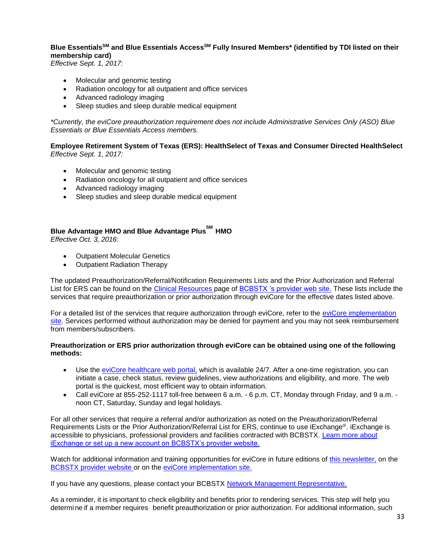**Blue EssentialsSM and Blue Essentials AccessSM Fully Insured Members\* (identified by TDI listed on their membership card)**

*Effective Sept. 1, 2017:*

- Molecular and genomic testing
- Radiation oncology for all outpatient and office services
- Advanced radiology imaging
- Sleep studies and sleep durable medical equipment

*\*Currently, the eviCore preauthorization requirement does not include Administrative Services Only (ASO) Blue Essentials or Blue Essentials Access members.*

**Employee Retirement System of Texas (ERS): HealthSelect of Texas and Consumer Directed HealthSelect**  *Effective Sept. 1, 2017:*

- Molecular and genomic testing
- Radiation oncology for all outpatient and office services
- Advanced radiology imaging
- Sleep studies and sleep durable medical equipment

## **Blue Advantage HMO and Blue Advantage PlusSM HMO**

*Effective Oct. 3, 2016:*

- Outpatient Molecular Genetics
- Outpatient Radiation Therapy

The updated Preauthorization/Referral/Notification Requirements Lists and the Prior Authorization and Referral List for ERS can be found on the [Clinical Resources](https://www.bcbstx.com/provider/clinical/index.html) page of [BCBSTX 's provider web site.](https://www.bcbstx.com/provider/index.html) These lists include the services that require preauthorization or prior authorization through eviCore for the effective dates listed above.

For a detailed list of the services that require authorization through eviCore, refer to the [eviCore implementation](https://www.evicore.com/healthplan/bcbstx)  [site.](https://www.evicore.com/healthplan/bcbstx) Services performed without authorization may be denied for payment and you may not seek reimbursement from members/subscribers.

#### **Preauthorization or ERS prior authorization through eviCore can be obtained using one of the following methods:**

- Use the [eviCore healthcare web portal,](https://www.evicore.com/pages/providerlogin.aspx) which is available 24/7. After a one-time registration, you can initiate a case, check status, review guidelines, view authorizations and eligibility, and more. The web portal is the quickest, most efficient way to obtain information.
- Call eviCore at 855-252-1117 toll-free between 6 a.m. 6 p.m. CT, Monday through Friday, and 9 a.m. noon CT, Saturday, Sunday and legal holidays.

For all other services that require a referral and/or authorization as noted on the Preauthorization/Referral Requirements Lists or the Prior Authorization/Referral List for ERS, continue to use iExchange®. iExchange is accessible to physicians, professional providers and facilities contracted with BCBSTX. [Learn more about](https://www.bcbstx.com/provider/tools/iexchange_index.html)  [iExchange or set up a new account on BCBSTX's provider website.](https://www.bcbstx.com/provider/tools/iexchange_index.html)

Watch for additional information and training opportunities for eviCore in future editions of [this newsletter,](http://www.pages02.net/hcscnosuppression/bluereview_june_2017/LPT.url?kn=1009685&vs=ZDQ4NWExZDgtZjhlNy00N2Q1LWI4NDktZTQyYzE4ZWY4MTU5OzA6MTExNzIwMjA6MTkyODM0MTAxODQwOjExODAxNjg3MjM6MTE4MDE2ODcyMzsS1) on th[e](http://www.pages02.net/hcscnosuppression/bluereview_june_2017/LPT.url?kn=1009686&vs=ZDQ4NWExZDgtZjhlNy00N2Q1LWI4NDktZTQyYzE4ZWY4MTU5OzA6MTExNzIwMjA6MTkyODM0MTAxODQwOjExODAxNjg3MjM6MTE4MDE2ODcyMzsS1) BCBSTX provider website or on the [eviCore implementation site.](https://www.evicore.com/healthplan/bcbstx)

If you have any questions, please contact your BCBSTX Network Management Representative.

As a reminder, it is important to check eligibility and benefits prior to rendering services. This step will help you determi ne if a member requires benefit preauthorization or prior authorization. For additional information, such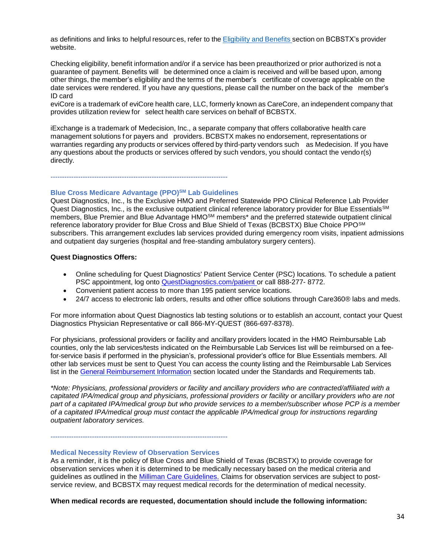as definitions and links to helpful resources, refer to the [Eligibility](https://www.bcbstx.com/provider/claims/eligibility_and_benefits.html) and [Benefits](http://www.pages02.net/hcscnosuppression/bluereview_june_2017/LPT.url?kn=1009689&vs=ZDQ4NWExZDgtZjhlNy00N2Q1LWI4NDktZTQyYzE4ZWY4MTU5OzA6MTExNzIwMjA6MTkyODM0MTAxODQwOjExODAxNjg3MjM6MTE4MDE2ODcyMzsS1) section on BCBSTX's provider website.

Checking eligibility, benefit information and/or if a service has been preauthorized or prior authorized is not a guarantee of payment. Benefits will be determined once a claim is received and will be based upon, among other things, the member's eligibility and the terms of the member's certificate of coverage applicable on the date services were rendered. If you have any questions, please call the number on the back of the member's ID card

eviCore is a trademark of eviCore health care, LLC, formerly known as CareCore, an independent company that provides utilization review for select health care services on behalf of BCBSTX.

iExchange is a trademark of Medecision, Inc., a separate company that offers collaborative health care management solutions f or payers and providers. BCBSTX makes no endorsement, representations or warranties regarding any products or services offered by third-party vendors such as Medecision. If you have any questions about the products or services offered by such vendors, you should contact the vendo r(s) directly.

-----------------------------------------------------------------------------

#### **Blue Cross Medicare Advantage (PPO)SM Lab Guidelines**

Quest Diagnostics, Inc., Is the Exclusive HMO and Preferred Statewide PPO Clinical Reference Lab Provider Quest Diagnostics, Inc., is the exclusive outpatient clinical reference laboratory provider for Blue Essentials<sup>SM</sup> members, Blue Premier and Blue Advantage HMOSM members\* and the preferred statewide outpatient clinical reference laboratory provider for Blue Cross and Blue Shield of Texas (BCBSTX) Blue Choice PPOSM subscribers. This arrangement excludes lab services provided during emergency room visits, inpatient admissions and outpatient day surgeries (hospital and free-standing ambulatory surgery centers).

#### **Quest Diagnostics Offers:**

- Online scheduling for Quest Diagnostics' Patient Service Center (PSC) locations. To schedule a patient PSC appointment, log onto [QuestDiagnostics.com/patient](http://www.questdiagnostics.com/home/patients) or call 888-277- 8772.
- Convenient patient access to more than 195 patient service locations.
- 24/7 access to electronic lab orders, results and other office solutions through Care360® labs and meds.

For more information about Quest Diagnostics lab testing solutions or to establish an account, contact your Quest Diagnostics Physician Representative or call 866-MY-QUEST (866-697-8378).

For physicians, professional providers or facility and ancillary providers located in the HMO Reimbursable Lab counties, only the lab services/tests indicated on the Reimbursable Lab Services list will be reimbursed on a feefor-service basis if performed in the physician's, professional provider's office for Blue Essentials members. All other lab services must be sent to Quest You can access the county listing and the Reimbursable Lab Services list in the [General Reimbursement](https://www.bcbstx.com/provider/gri/index.html) Information section located under the Standards and Requirements tab.

*\*Note: Physicians, professional providers or facility and ancillary providers who are contracted/affiliated with a*  capitated IPA/medical group and physicians, professional providers or facility or ancillary providers who are not *part of a capitated IPA/medical group but who provide services to a member/subscriber whose PCP is a member of a capitated IPA/medical group must contact the applicable IPA/medical group for instructions regarding outpatient laboratory services.*

-----------------------------------------------------------------------------

#### **Medical Necessity Review of Observation Services**

As a reminder, it is the policy of Blue Cross and Blue Shield of Texas (BCBSTX) to provide coverage for observation services when it is determined to be medically necessary based on the medical criteria and guidelines as outlined in the [Milliman Care Guidelines.](https://www.mcg.com/care-guidelines/care-guidelines/?gclid=EAIaIQobChMI_PTXromB3QIVBgtpCh09pw0pEAAYASAAEgJaQfD_BwE) Claims for observation services are subject to postservice review, and BCBSTX may request medical records for the determination of medical necessity.

**When medical records are requested, documentation should include the following information:**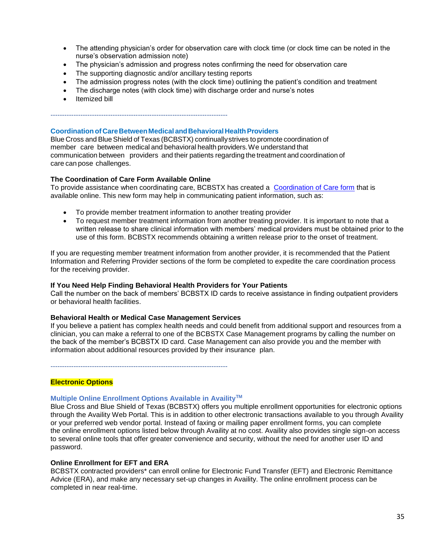- The attending physician's order for observation care with clock time (or clock time can be noted in the nurse's observation admission note)
- The physician's admission and progress notes confirming the need for observation care
- The supporting diagnostic and/or ancillary testing reports

-----------------------------------------------------------------------------

- The admission progress notes (with the clock time) outlining the patient's condition and treatment
- The discharge notes (with clock time) with discharge order and nurse's notes
- Itemized bill

#### **Coordination of Care Between Medical and Behavioral Health Providers**

Blue Cross and BlueShield of Texas (BCBSTX) continuallystrives to promote coordination of member care between medical and behavioral health providers.We understand that communication between providers and their patients regarding the treatment and coordination of care can pose challenges.

#### **The Coordination of Care Form Available Online**

To provide assistance when coordinating care, BCBSTX has created a [Coordination of Care form](http://www.bcbstx.com/provider/pdf/bh_coordination_care.pdf) that is available online. This new form may help in communicating patient information, such as:

- To provide member treatment information to another treating provider
- To request member treatment information from another treating provider. It is important to note that a written release to share clinical information with members' medical providers must be obtained prior to the use of this form. BCBSTX recommends obtaining a written release prior to the onset of treatment.

If you are requesting member treatment information from another provider, it is recommended that the Patient Information and Referring Provider sections of the form be completed to expedite the care coordination process for the receiving provider.

#### **If You Need Help Finding Behavioral Health Providers for Your Patients**

Call the number on the back of members' BCBSTX ID cards to receive assistance in finding outpatient providers or behavioral health facilities.

#### **Behavioral Health or Medical Case Management Services**

If you believe a patient has complex health needs and could benefit from additional support and resources from a clinician, you can make a referral to one of the BCBSTX Case Management programs by calling the number on the back of the member's BCBSTX ID card. Case Management can also provide you and the member with information about additional resources provided by their insurance plan.

-----------------------------------------------------------------------------

#### **Electronic Options**

#### **Multiple Online Enrollment Options Available in AvailityTM**

Blue Cross and Blue Shield of Texas (BCBSTX) offers you multiple enrollment opportunities for electronic options through the Availity Web Portal. This is in addition to other electronic transactions available to you through Availity or your preferred web vendor portal. Instead of faxing or mailing paper enrollment forms, you can complete the online enrollment options listed below through Availity at no cost. Availity also provides single sign-on access to several online tools that offer greater convenience and security, without the need for another user ID and password.

#### **Online Enrollment for EFT and ERA**

BCBSTX contracted providers\* can enroll online for Electronic Fund Transfer (EFT) and Electronic Remittance Advice (ERA), and make any necessary set-up changes in Availity. The online enrollment process can be completed in near real-time.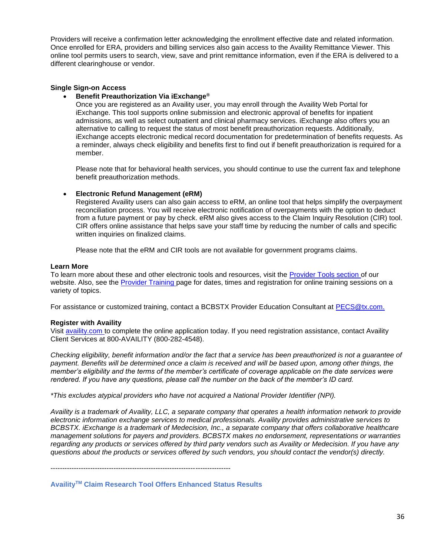Providers will receive a confirmation letter acknowledging the enrollment effective date and related information. Once enrolled for ERA, providers and billing services also gain access to the Availity Remittance Viewer. This online tool permits users to search, view, save and print remittance information, even if the ERA is delivered to a different clearinghouse or vendor.

### **Single Sign-on Access**

#### • **Benefit Preauthorization Via iExchange®**

Once you are registered as an Availity user, you may enroll through the Availity Web Portal for iExchange. This tool supports online submission and electronic approval of benefits for inpatient admissions, as well as select outpatient and clinical pharmacy services. iExchange also offers you an alternative to calling to request the status of most benefit preauthorization requests. Additionally, iExchange accepts electronic medical record documentation for predetermination of benefits requests. As a reminder, always check eligibility and benefits first to find out if benefit preauthorization is required for a member.

Please note that for behavioral health services, you should continue to use the current fax and telephone benefit preauthorization methods.

### • **Electronic Refund Management (eRM)**

Registered Availity users can also gain access to eRM, an online tool that helps simplify the overpayment reconciliation process. You will receive electronic notification of overpayments with the option to deduct from a future payment or pay by check. eRM also gives access to the Claim Inquiry Resolution (CIR) tool. CIR offers online assistance that helps save your staff time by reducing the number of calls and specific written inquiries on finalized claims.

Please note that the eRM and CIR tools are not available for government programs claims.

#### **Learn More**

To learn more about these and other electronic tools and resources, visit the [Provider Tools section o](https://www.bcbstx.com/provider/tools/index.html)f our website. Also, see the [Provider Training](https://www.bcbstx.com/provider/training/) page for dates, times and registration for online training sessions on a variety of topics.

For assistance or customized training, contact a BCBSTX Provider Education Consultant at PECS@tx.com.

#### **Register with Availity**

Visit [availity.com](https://www.availity.com/) to complete the online application today. If you need registration assistance, contact Availity Client Services at 800-AVAILITY (800-282-4548).

*Checking eligibility, benefit information and/or the fact that a service has been preauthorized is not a guarantee of payment. Benefits will be determined once a claim is received and will be based upon, among other things, the member's eligibility and the terms of the member's certificate of coverage applicable on the date services were rendered. If you have any questions, please call the number on the back of the member's ID card.*

*\*This excludes atypical providers who have not acquired a National Provider Identifier (NPI).*

*Availity is a trademark of Availity, LLC, a separate company that operates a health information network to provide electronic information exchange services to medical professionals. Availity provides administrative services to BCBSTX. iExchange is a trademark of Medecision, Inc., a separate company that offers collaborative healthcare management solutions for payers and providers. BCBSTX makes no endorsement, representations or warranties regarding any products or services offered by third party vendors such as Availity or Medecision. If you have any questions about the products or services offered by such vendors, you should contact the vendor(s) directly.*

-----------------------------------------------------------------------------

**AvailityTM Claim Research Tool Offers Enhanced Status Results**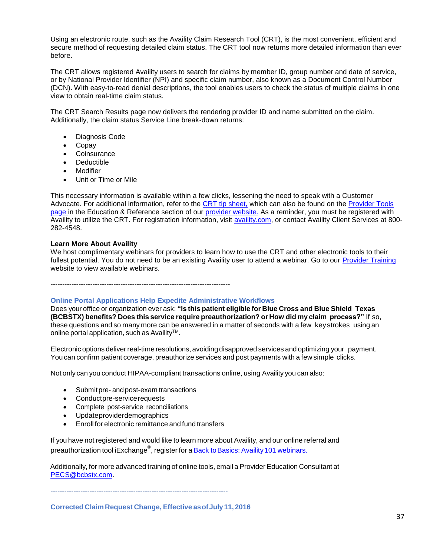Using an electronic route, such as the Availity Claim Research Tool (CRT), is the most convenient, efficient and secure method of requesting detailed claim status. The CRT tool now returns more detailed information than ever before.

The CRT allows registered Availity users to search for claims by member ID, group number and date of service, or by National Provider Identifier (NPI) and specific claim number, also known as a Document Control Number (DCN). With easy-to-read denial descriptions, the tool enables users to check the status of multiple claims in one view to obtain real-time claim status.

The CRT Search Results page now delivers the rendering provider ID and name submitted on the claim. Additionally, the claim status Service Line break-down returns:

- Diagnosis Code
- Copay
- Coinsurance
- Deductible
- Modifier
- Unit or Time or Mile

This necessary information is available within a few clicks, lessening the need to speak with a Customer Advocate. For additional information, refer to the [CRT tip sheet,](https://www.bcbstx.com/provider/pdf/availity_crt_online_tip_sheet.pdf) which can also be found on the [Provider Tools](https://www.bcbstx.com/provider/tools/index.html) [page](https://www.bcbstx.com/provider/tools/index.html) in the Education & Reference section of our [provider website.](https://www.bcbstx.com/provider/) As a reminder, you must be registered with Availity to utilize the CRT. For registration information, visit [availity.com,](https://www.availity.com/) or contact Availity Client Services at 800-282-4548.

#### **Learn More About Availity**

We host complimentary webinars for providers to learn how to use the CRT and other electronic tools to their fullest potential. You do not need to be an existing Availity user to attend a webinar. Go to our [Provider Training](https://www.bcbstx.com/provider/training/) website to view available webinars.

-----------------------------------------------------------------------------

#### **Online Portal Applications Help Expedite Administrative Workflows**

Does your office or organization ever ask: **"Is this patient eligible for Blue Cross and Blue Shield Texas (BCBSTX) benefits? Does this service require preauthorization? or How did my claim process?"** If so, these questions and so many more can be answered in a matter of seconds with a few key strokes using an online portal application, such as Availity™.

Electronic options deliver real-time resolutions, avoiding disapproved services and optimizing your payment. You can confirm patient coverage, preauthorize services and post payments with a few simple clicks.

Not only can you conduct HIPAA-compliant transactions online, using Availity you can also:

- Submitpre- and post-exam transactions
- Conductpre-servicerequests
- Complete post-service reconciliations
- Updateproviderdemographics
- Enroll for electronic remittance and fund transfers

If you have not registered and would like to learn more about Availity, and our online referral and preauthorization tool iExchange<sup>®</sup>, register for a <u>Back to Basics: Availity 101 webinars.</u>

Additionally, for more advanced training of online tools, email a Provider Education Consultant at [PECS@bcbstx.com.](mailto:PECS@bcbstx.com)

-----------------------------------------------------------------------------

**Corrected Claim Request Change, Effective asofJuly 11, 2016**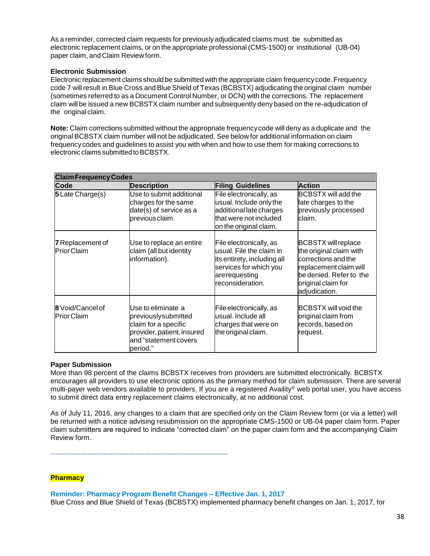As a reminder, corrected claim requests for previously adjudicated claims must be submitted as electronic replacement claims, or on the appropriate professional (CMS-1500) or institutional (UB-04) paper claim, and Claim Review form.

## **Electronic Submission**

Electronic replacement claims should be submitted with the appropriate claim frequencycode. Frequency code 7 willresult in Blue Cross and Blue Shield of Texas (BCBSTX) adjudicating the original claim number (sometimes referred to as a Document Control Number, or DCN) with the corrections. The replacement claim will be issued a new BCBSTX claim number and subsequently deny based on the re-adjudication of the original claim.

**Note:** Claim corrections submitted without the appropriate frequencycode will deny as a duplicate and the original BCBSTX claim number will not be adjudicated. See below for additional information on claim frequency codes and guidelines to assist you with when and how to use them for making corrections to electronic claims submitted to BCBSTX.

| <b>Claim Frequency Codes</b>                                                                                                                                                  |                                                                                                |                                                                                                                                                   |                                                                                                                                                                          |  |
|-------------------------------------------------------------------------------------------------------------------------------------------------------------------------------|------------------------------------------------------------------------------------------------|---------------------------------------------------------------------------------------------------------------------------------------------------|--------------------------------------------------------------------------------------------------------------------------------------------------------------------------|--|
| Code                                                                                                                                                                          | <b>Description</b>                                                                             | <b>Filing Guidelines</b>                                                                                                                          | <b>Action</b>                                                                                                                                                            |  |
| 5 Late Charge(s)                                                                                                                                                              | Use to submit additional<br>charges for the same<br>date(s) of service as a<br>previous claim. | File electronically, as<br>usual. Include only the<br>additional late charges<br>that were not included<br>on the original claim.                 | <b>BCBSTX will add the</b><br>late charges to the<br>previously processed<br>claim.                                                                                      |  |
| <b>7</b> Replacement of<br><b>PriorClaim</b>                                                                                                                                  | Use to replace an entire<br>claim (all but identity<br>information).                           | File electronically, as<br>usual. File the claim in<br>its entirety, including all<br>services for which you<br>arerequesting<br>reconsideration. | <b>BCBSTX</b> will replace<br>the original claim with<br>corrections and the<br>replacement claim will<br>be denied. Refer to the<br>original claim for<br>adjudication. |  |
| 8 Void/Cancel of<br>Use to eliminate a<br><b>PriorClaim</b><br>previouslysubmitted<br>claim for a specific<br>provider, patient, insured<br>and "statement covers<br>period." |                                                                                                | File electronically, as<br>usual. Include all<br>charges that were on<br>the original claim.                                                      | <b>BCBSTX will void the</b><br>original claim from<br>records, based on<br>request.                                                                                      |  |

## **Paper Submission**

More than 98 percent of the claims BCBSTX receives from providers are submitted electronically. BCBSTX encourages all providers to use electronic options as the primary method for claim submission. There are several multi-payer web vendors available to providers. If you are a registered Availity® web portal user, you have access to submit direct data entry replacement claims electronically, at no additional cost.

As of July 11, 2016, any changes to a claim that are specified only on the Claim Review form (or via a letter) will be returned with a notice advising resubmission on the appropriate CMS-1500 or UB-04 paper claim form. Paper claim submitters are required to indicate "corrected claim" on the paper claim form and the accompanying Claim Review form.

-----------------------------------------------------------------------------

## **Pharmacy**

**Reminder: Pharmacy Program Benefit Changes – Effective Jan. 1, 2017**

Blue Cross and Blue Shield of Texas (BCBSTX) implemented pharmacy benefit changes on Jan. 1, 2017, for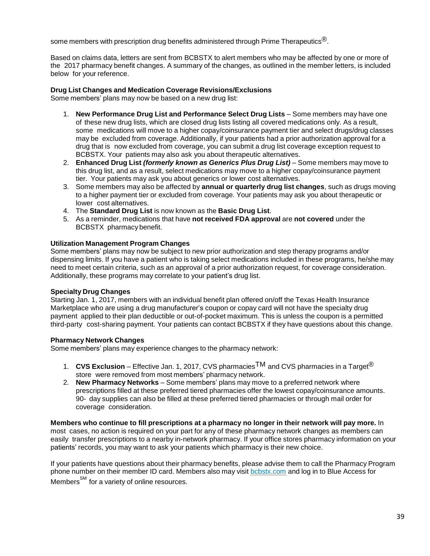some members with prescription drug benefits administered through Prime Therapeutics $\mathcal{B}$ .

Based on claims data, letters are sent from BCBSTX to alert members who may be affected by one or more of the 2017 pharmacy benefit changes. A summary of the changes, as outlined in the member letters, is included below for your reference.

### **Drug List Changes and Medication Coverage Revisions/Exclusions**

Some members' plans may now be based on a new drug list:

- 1. **New Performance Drug List and Performance Select Drug Lists** Some members may have one of these new drug lists, which are closed drug lists listing all covered medications only. As a result, some medications will move to a higher copay/coinsurance payment tier and select drugs/drug classes may be excluded from coverage. Additionally, if your patients had a prior authorization approval for a drug that is now excluded from coverage, you can submit a drug list coverage exception request to BCBSTX. Your patients may also ask you about therapeutic alternatives.
- 2. **Enhanced Drug List** *(formerly known as Generics Plus Drug List)* Some members may move to this drug list, and as a result, select medications may move to a higher copay/coinsurance payment tier. Your patients may ask you about generics or lower cost alternatives.
- 3. Some members may also be affected by **annual or quarterly drug list changes**, such as drugs moving to a higher payment tier or excluded from coverage. Your patients may ask you about therapeutic or lower cost alternatives.
- 4. The **Standard Drug List** is now known as the **Basic Drug List**.
- 5. As a reminder, medications that have **not received FDA approval** are **not covered** under the BCBSTX pharmacy benefit.

### **Utilization Management Program Changes**

Some members' plans may now be subject to new prior authorization and step therapy programs and/or dispensing limits. If you have a patient who is taking select medications included in these programs, he/she may need to meet certain criteria, such as an approval of a prior authorization request, for coverage consideration. Additionally, these programs may correlate to your patient's drug list.

#### **Specialty Drug Changes**

Starting Jan. 1, 2017, members with an individual benefit plan offered on/off the Texas Health Insurance Marketplace who are using a drug manufacturer's coupon or copay card will not have the specialty drug payment applied to their plan deductible or out-of-pocket maximum. This is unless the coupon is a permitted third-party cost-sharing payment. Your patients can contact BCBSTX if they have questions about this change.

#### **Pharmacy Network Changes**

Some members' plans may experience changes to the pharmacy network:

- 1. **CVS Exclusion** Effective Jan. 1, 2017, CVS pharmaciesTM and CVS pharmacies in a Target® store were removed from most members' pharmacy network.
- 2. **New Pharmacy Networks** Some members' plans may move to a preferred network where prescriptions filled at these preferred tiered pharmacies offer the lowest copay/coinsurance amounts. 90- day supplies can also be filled at these preferred tiered pharmacies or through mail order for coverage consideration.

**Members who continue to fill prescriptions at a pharmacy no longer in their network will pay more.** In most cases, no action is required on your part for any of these pharmacy network changes as members can easily transfer prescriptions to a nearby in-network pharmacy. If your office stores pharmacy information on your patients' records, you may want to ask your patients which pharmacy is their new choice.

If your patients have questions about their pharmacy benefits, please advise them to call the Pharmacy Program phone number on their member ID card. Members also may visit bobstx.com and log in to Blue Access for Members<sup>SM</sup> for a variety of online resources.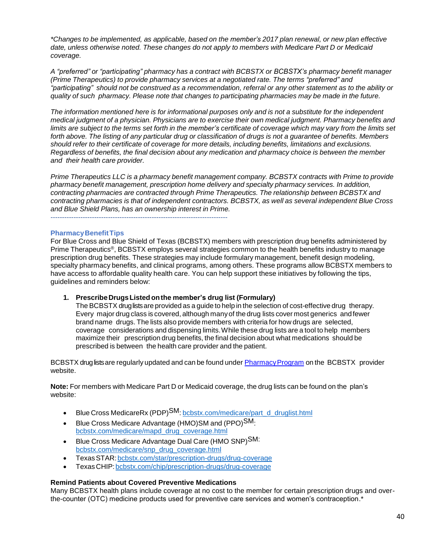*\*Changes to be implemented, as applicable, based on the member's 2017 plan renewal, or new plan effective date, unless otherwise noted. These changes do not apply to members with Medicare Part D or Medicaid coverage.*

*A "preferred" or "participating" pharmacy has a contract with BCBSTX or BCBSTX's pharmacy benefit manager (Prime Therapeutics) to provide pharmacy services at a negotiated rate. The terms "preferred" and* "participating" should not be construed as a recommendation, referral or any other statement as to the ability or *quality of such pharmacy. Please note that changes to participating pharmacies may be made in the future.*

The information mentioned here is for informational purposes only and is not a substitute for the independent *medical judgment of a physician. Physicians are to exercise their own medical judgment. Pharmacy benefits and* limits are subject to the terms set forth in the member's certificate of coverage which may vary from the limits set forth above. The listing of any particular drug or classification of drugs is not a quarantee of benefits. Members *should refer to their certificate of coverage for more details, including benefits, limitations and exclusions. Regardless of benefits, the final decision about any medication and pharmacy choice is between the member and their health care provider.*

*Prime Therapeutics LLC is a pharmacy benefit management company. BCBSTX contracts with Prime to provide pharmacy benefit management, prescription home delivery and specialty pharmacy services. In addition, contracting pharmacies are contracted through Prime Therapeutics. The relationship between BCBSTX and contracting pharmacies is that of independent contractors. BCBSTX, as well as several independent Blue Cross and Blue Shield Plans, has an ownership interest in Prime.* -----------------------------------------------------------------------------

### **PharmacyBenefitTips**

For Blue Cross and Blue Shield of Texas (BCBSTX) members with prescription drug benefits administered by Prime Therapeutics®, BCBSTX employs several strategies common to the health benefits industry to manage prescription drug benefits. These strategies may include formulary management, benefit design modeling, specialty pharmacy benefits, and clinical programs, among others. These programs allow BCBSTX members to have access to affordable quality health care. You can help support these initiatives by following the tips, guidelines and reminders below:

**1. PrescribeDrugsListedonthe member's drug list (Formulary)**

The BCBSTX druglistsare provided as a guide to help in the selection of cost-effective drug therapy. Every major drug class is covered, although manyof the drug lists cover most generics andfewer brand name drugs. The lists also provide members with criteria for how drugs are selected, coverage considerations and dispensing limits.While these drug lists are a tool to help members maximize their prescription drug benefits, the final decision about what medications should be prescribed is between the health care provider and the patient.

BCBSTX druglists are regularly updated and can be found under **Pharmacy Program** on the BCBSTX provider website.

**Note:** For members with Medicare Part D or Medicaid coverage, the drug lists can be found on the plan's website:

- Blue Cross MedicareRx (PDP)<sup>SM</sup>: [bcbstx.com/medicare/part\\_d\\_druglist.html](http://www.bcbstx.com/medicare/part_d_druglist.html)
- Blue Cross Medicare Advantage (HMO)SM and (PPO) $\text{SM}_{1}$ [bcbstx.com/medicare/mapd\\_drug\\_coverage.html](http://www.bcbstx.com/medicare/mapd_drug_coverage.html)
- Blue Cross Medicare Advantage Dual Care (HMO SNP)SM: [bcbstx.com/medicare/snp\\_drug\\_coverage.html](http://www.bcbstx.com/medicare/snp_drug_coverage.html)
- TexasSTAR[:bcbstx.com/star/prescription-drugs/drug-coverage](http://www.bcbstx.com/star/prescription-drugs/drug-coverage)
- TexasCHIP[:bcbstx.com/chip/prescription-drugs/drug-coverage](http://www.bcbstx.com/chip/prescription-drugs/drug-coverage)

## **Remind Patients about Covered Preventive Medications**

Many BCBSTX health plans include coverage at no cost to the member for certain prescription drugs and overthe-counter (OTC) medicine products used for preventive care services and women's contraception.\*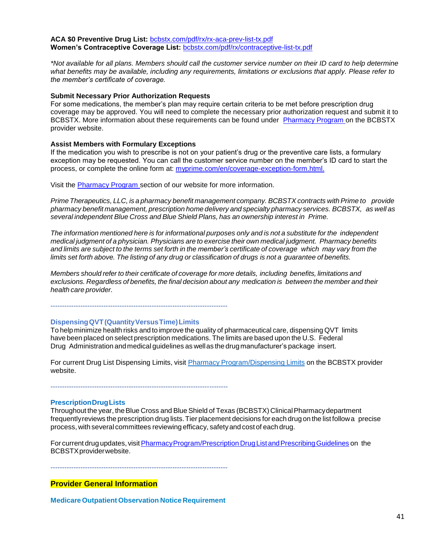**ACA \$0 Preventive Drug List:** [bcbstx.com/pdf/rx/rx-aca-prev-list-tx.pdf](http://www.bcbstx.com/pdf/rx/rx-aca-prev-list-tx.pdf) **Women's Contraceptive Coverage List:** [bcbstx.com/pdf/rx/contraceptive-list-tx.pdf](http://www.bcbstx.com/pdf/rx/contraceptive-list-tx.pdf)

*\*Not available for all plans. Members should call the customer service number on their ID card to help determine what benefits may be available, including any requirements, limitations or exclusions that apply. Please refer to the member's certificate of coverage.*

#### **Submit Necessary Prior Authorization Requests**

For some medications, the member's plan may require certain criteria to be met before prescription drug coverage may be approved. You will need to complete the necessary prior authorization request and submit it to BCBSTX. More information about these requirements can be found under [Pharmacy Program o](https://www.bcbstx.com/provider/pharmacy/pa_step_therapy.html)n the BCBSTX provider website.

#### **Assist Members with Formulary Exceptions**

If the medication you wish to prescribe is not on your patient's drug or the preventive care lists, a formulary exception may be requested. You can call the customer service number on the member's ID card to start the process, or complete the online form at: [myprime.com/en/coverage-exception-form.html.](http://www.myprime.com/en/coverage-exception-form.html)

Visit the [Pharmacy Program s](http://www.bcbstx.com/provider/pharmacy/index.html)ection of our website for more information.

*Prime Therapeutics, LLC, is a pharmacy benefit management company. BCBSTX contracts withPrime to provide pharmacy benefit management, prescription home delivery and specialty pharmacy services. BCBSTX, as well as several independent Blue Cross and Blue Shield Plans, has an ownership interest in Prime.*

The information mentioned here is for informational purposes only and is not a substitute for the independent *medical judgment of a physician. Physicians are to exercise their own medical judgment. Pharmacy benefits* and limits are subject to the terms set forth in the member's certificate of coverage which may vary from the limits set forth above. The listing of any drug or classification of drugs is not a quarantee of benefits.

*Members should refer to their certificate of coverage for more details, including benefits, limitations and exclusions. Regardless of benefits, the final decision about any medication is between the member and their health care provider.*

-----------------------------------------------------------------------------

#### **DispensingQVT(QuantityVersusTime)Limits**

To help minimize health risks and to improve the quality of pharmaceutical care, dispensing QVT limits have been placed on select prescription medications. The limits are based upon the U.S. Federal Drug Administration andmedical guidelines as wellas the drugmanufacturer's package insert.

For current Drug List Dispensing Limits, visit Pharmacy [Program/Dispensing](https://www.bcbstx.com/provider/pharmacy/quantity_time.html) Limits on the BCBSTX provider website.

-----------------------------------------------------------------------------

#### **PrescriptionDrugLists**

Throughout the year, the Blue Cross and Blue Shield of Texas (BCBSTX) Clinical Pharmacy department frequentlyreviews the prescription drug lists.Tier placement decisions for each drug on the list followa precise process, with several committees reviewing efficacy, safetyand cost of each drug.

For current drug updates, visit Pharmacy Program/Prescription Drug List and Prescribing Guidelines on the BCBSTXproviderwebsite.

-----------------------------------------------------------------------------

**Provider General Information**

**Medicare Outpatient Observation Notice Requirement**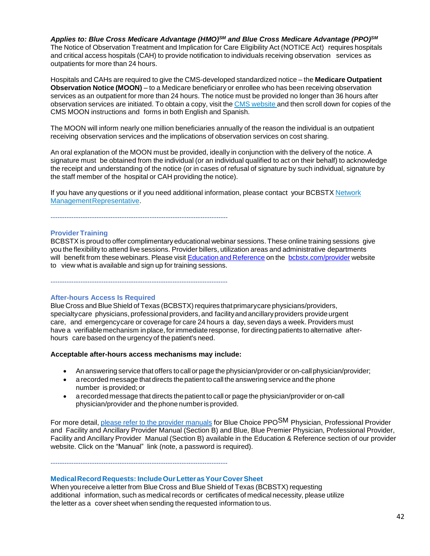*Applies to: Blue Cross Medicare Advantage (HMO)SM and Blue Cross Medicare Advantage (PPO)SM* The Notice of Observation Treatment and Implication for Care Eligibility Act (NOTICE Act) requires hospitals and critical access hospitals (CAH) to provide notification to individuals receiving observation services as outpatients for more than 24 hours.

Hospitals and CAHs are required to give the CMS-developed standardized notice – the **Medicare Outpatient Observation Notice (MOON)** – to a Medicare beneficiary or enrollee who has been receiving observation services as an outpatient for more than 24 hours. The notice must be provided no longer than 36 hours after observation services are initiated. To obtain a copy, visit the CMS [website](https://www.cms.gov/Medicare/Medicare-General-Information/BNI/index.html) and then scroll down for copies of the CMS MOON instructions and forms in both English and Spanish.

The MOON will inform nearly one million beneficiaries annually of the reason the individual is an outpatient receiving observation services and the implications of observation services on cost sharing.

An oral explanation of the MOON must be provided, ideally in conjunction with the delivery of the notice. A signature must be obtained from the individual (or an individual qualified to act on their behalf) to acknowledge the receipt and understanding of the notice (or in cases of refusal of signature by such individual, signature by the staff member of the hospital or CAH providing the notice).

If you have any questions or if you need additional information, please contact your BCBSTX [Network](https://www.bcbstx.com/provider/contact_us.html#localnetwork) [ManagementRepresentative.](https://www.bcbstx.com/provider/contact_us.html#localnetwork)

-----------------------------------------------------------------------------

#### **Provider Training**

BCBSTX is proud to offer complimentaryeducational webinar sessions. These online training sessions give you the flexibility to attend live sessions. Provider billers, utilization areas and administrative departments will benefit from these webinars. Please visit Education and [Reference](http://www.bcbstx.com/provider/training/index.html) on the [bcbstx.com/provider](http://www.bcbstx.com/provider/index.html) website to view what is available and sign up for training sessions.

-----------------------------------------------------------------------------

#### **After-hours Access Is Required**

Blue Cross and Blue Shield of Texas (BCBSTX) requires that primary care physicians/providers, specialtycare physicians, professional providers, and facilityand ancillaryproviders provideurgent care, and emergencycare or coverage for care 24 hours a day, seven days a week. Providers must have a verifiable mechanism in place, for immediate response, for directing patients to alternative afterhours care based on the urgency of the patient's need.

#### **Acceptable after-hours access mechanisms may include:**

- An answering service that offers tocall or page the physician/provider or on-call physician/provider;
- a recorded message thatdirects the patient to call the answering service and the phone number is provided; or
- a recorded message that directs thepatient to call or page the physician/provider or on-call physician/provider and thephone numberis provided.

For more detail, please refer to the provider [manuals](https://www.bcbstx.com/provider/news/bluereview.html) for Blue Choice PPO<sup>SM</sup> Physician, Professional Provider and Facility and Ancillary Provider Manual (Section B) and Blue, Blue Premier Physician, Professional Provider, Facility and Ancillary Provider Manual (Section B) available in the Education & Reference section of our provider website. Click on the "Manual" link (note, a password is required).

# -----------------------------------------------------------------------------

**MedicalRecord Requests: IncludeOurLetterasYour CoverSheet** When youreceive a letter from Blue Cross and Blue Shield of Texas (BCBSTX) requesting additional information, such as medical records or certificates of medical necessity, please utilize the letter as a cover sheet when sending the requested information to us.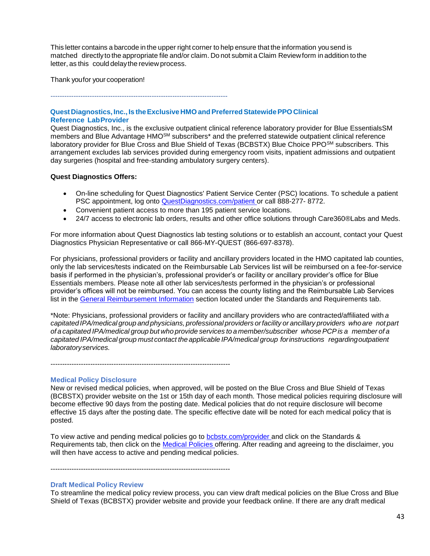This letter contains a barcode in the upper right corner to help ensure that the information you send is matched directlyto the appropriate file and/or claim. Do not submit a Claim Reviewform in addition to the letter, as this could delaythe review process.

Thank youfor your cooperation!

-----------------------------------------------------------------------------

## **QuestDiagnostics, Inc., Is theExclusive HMO andPreferredStatewidePPOClinical Reference LabProvider**

Quest Diagnostics, Inc., is the exclusive outpatient clinical reference laboratory provider for Blue EssentialsSM members and Blue Advantage HMOSM subscribers\* and the preferred statewide outpatient clinical reference laboratory provider for Blue Cross and Blue Shield of Texas (BCBSTX) Blue Choice PPOSM subscribers. This arrangement excludes lab services provided during emergency room visits, inpatient admissions and outpatient day surgeries (hospital and free-standing ambulatory surgery centers).

### **Quest Diagnostics Offers:**

- On-line scheduling for Quest Diagnostics' Patient Service Center (PSC) locations. To schedule a patient PSC appointment, log onto [QuestDiagnostics.com/patient](https://www.questdiagnostics.com/home/patients) or call 888-277-8772.
- Convenient patient access to more than 195 patient service locations.
- 24/7 access to electronic lab orders, results and other office solutions through Care360®Labs and Meds.

For more information about Quest Diagnostics lab testing solutions or to establish an account, contact your Quest Diagnostics Physician Representative or call 866-MY-QUEST (866-697-8378).

For physicians, professional providers or facility and ancillary providers located in the HMO capitated lab counties, only the lab services/tests indicated on the Reimbursable Lab Services list will be reimbursed on a fee-for-service basis if performed in the physician's, professional provider's or facility or ancillary provider's office for Blue Essentials members. Please note all other lab services/tests performed in the physician's or professional provider's offices will not be reimbursed. You can access the county listing and the Reimbursable Lab Services list in the [General Reimbursement Information](https://www.bcbstx.com/provider/gri/index.html) section located under the Standards and Requirements tab.

\*Note: Physicians, professional providers or facility and ancillary providers who are contracted/affiliated with *a capitated IPA/medical group and physicians, professional providers orfacility or ancillary providers who are not part of a capitated IPA/medical group but who provide services to a member/subscriber whosePCPis a member of a capitated IPA/medical group must contact the applicable IPA/medical group forinstructions regardingoutpatient laboratoryservices.*

-----------------------------------------------------------------------------

#### **Medical Policy Disclosure**

New or revised medical policies, when approved, will be posted on the Blue Cross and Blue Shield of Texas (BCBSTX) provider website on the 1st or 15th day of each month. Those medical policies requiring disclosure will become effective 90 days from the posting date. Medical policies that do not require disclosure will become effective 15 days after the posting date. The specific effective date will be noted for each medical policy that is posted.

To view active and pending medical policies go to **bcbstx.com/provider** and click on the Standards & Requirements tab, then click on the [Medical Policies o](http://www.medicalpolicy.hcsc.net/medicalpolicy/disclaimer?corpEntCd=TX1)ffering. After reading and agreeing to the disclaimer, you will then have access to active and pending medical policies.

-----------------------------------------------------------------------------

#### **Draft Medical Policy Review**

To streamline the medical policy review process, you can view draft medical policies on the Blue Cross and Blue Shield of Texas (BCBSTX) provider website and provide your feedback online. If there are any draft medical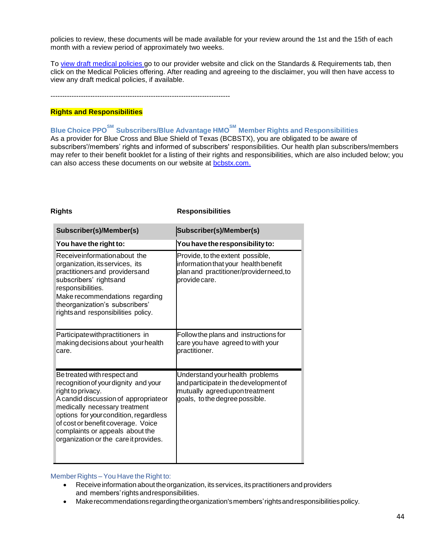policies to review, these documents will be made available for your review around the 1st and the 15th of each month with a review period of approximately two weeks.

To [view draft medical policies](http://www.medicalpolicy.hcsc.net/medicalpolicy/disclaimer?corpEntCd=TX1) go to our provider website and click on the Standards & Requirements tab, then click on the Medical Policies offering. After reading and agreeing to the disclaimer, you will then have access to view any draft medical policies, if available.

-----------------------------------------------------------------------------

#### **Rights and Responsibilities**

**Blue Choice PPOSM Subscribers/Blue Advantage HMOSM Member Rights and Responsibilities** As a provider for Blue Cross and Blue Shield of Texas (BCBSTX), you are obligated to be aware of subscribers'/members' rights and informed of subscribers' responsibilities. Our health plan subscribers/members may refer to their benefit booklet for a listing of their rights and responsibilities, which are also included below; you can also access these documents on our website at [bcbstx.com.](https://www.bcbstx.com/member)

| <b>Rights</b>                                                                                                                                                                                                                                                                                                                 | <b>Responsibilities</b>                                                                                                                      |  |
|-------------------------------------------------------------------------------------------------------------------------------------------------------------------------------------------------------------------------------------------------------------------------------------------------------------------------------|----------------------------------------------------------------------------------------------------------------------------------------------|--|
| Subscriber(s)/Member(s)                                                                                                                                                                                                                                                                                                       | Subscriber(s)/Member(s)                                                                                                                      |  |
| You have the right to:                                                                                                                                                                                                                                                                                                        | You have the responsibility to:                                                                                                              |  |
| Receiveinformationabout the<br>organization, its services, its<br>practitioners and providers and<br>subscribers' rightsand<br>responsibilities.<br>Make recommendations regarding<br>theorganization's subscribers'<br>rights and responsibilities policy.                                                                   | Provide, to the extent possible,<br>information that your health benefit<br>plan and practitioner/providerneed, to<br>provide care.          |  |
| Participate with practitioners in<br>making decisions about your health<br>care.                                                                                                                                                                                                                                              | Follow the plans and instructions for<br>care you have agreed to with your<br>practitioner.                                                  |  |
| Be treated with respect and<br>recognition of your dignity and your<br>right to privacy.<br>A candid discussion of appropriateor<br>medically necessary treatment<br>options for your condition, regardless<br>of cost or benefit coverage. Voice<br>complaints or appeals about the<br>organization or the care it provides. | Understand your health problems<br>and participate in the development of<br>mutually agreed upon treatment<br>goals, to the degree possible. |  |

#### Member Rights – You Have the Right to:

- Receive information about the organization, its services, its practitioners and providers and members'rights andresponsibilities.
- Make recommendations regarding the organization's members' rights and responsibilities policy.